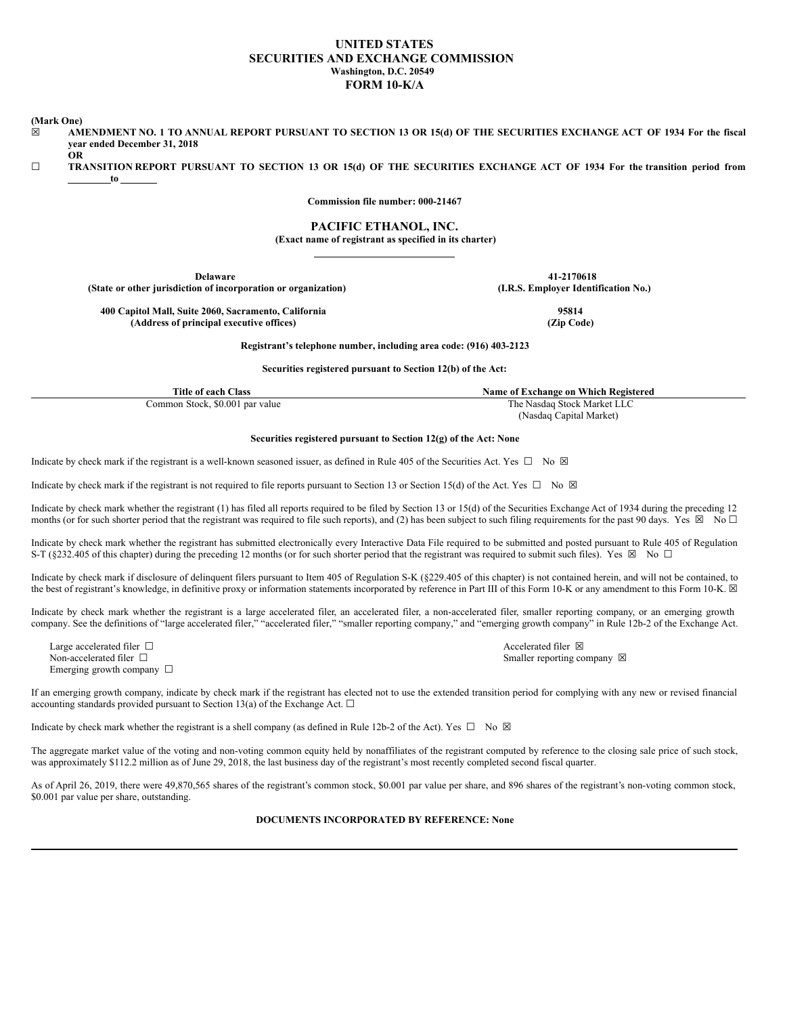## **UNITED STATES SECURITIES AND EXCHANGE COMMISSION Washington, D.C. 20549 FORM 10-K/A**

**(Mark One)**

AMENDMENT NO. 1 TO ANNUAL REPORT PURSUANT TO SECTION 13 OR 15(d) OF THE SECURITIES EXCHANGE ACT OF 1934 For the fiscal **year ended December 31, 2018 OR**

 $\square$  TRANSITION REPORT PURSUANT TO SECTION 13 OR 15(d) OF THE SECURITIES EXCHANGE ACT OF 1934 For the transition period from **to**

**Commission file number: 000-21467**

**PACIFIC ETHANOL, INC. (Exact name of registrant as specified in its charter)**

**Delaware 41-2170618 (State or other jurisdiction of incorporation or organization) (I.R.S. Employer Identification No.)**

**400 Capitol Mall, Suite 2060, Sacramento, California 95814 (Address of principal executive offices) (Zip Code)**

**Registrant's telephone number, including area code: (916) 403-2123**

**Securities registered pursuant to Section 12(b) of the Act:**

**Title of each Class Name of Exchange on Which Registered** Common Stock, \$0.001 par value The Nasdaq Stock Market LLC (Nasdaq Capital Market)

#### **Securities registered pursuant to Section 12(g) of the Act: None**

Indicate by check mark if the registrant is a well-known seasoned issuer, as defined in Rule 405 of the Securities Act. Yes  $\Box$  No  $\boxtimes$ 

Indicate by check mark if the registrant is not required to file reports pursuant to Section 13 or Section 15(d) of the Act. Yes  $\Box$  No  $\boxtimes$ 

Indicate by check mark whether the registrant (1) has filed all reports required to be filed by Section 13 or 15(d) of the Securities Exchange Act of 1934 during the preceding 12 months (or for such shorter period that the registrant was required to file such reports), and (2) has been subject to such filing requirements for the past 90 days. Yes  $\boxtimes$  No  $\Box$ 

Indicate by check mark whether the registrant has submitted electronically every Interactive Data File required to be submitted and posted pursuant to Rule 405 of Regulation S-T (§232.405 of this chapter) during the preceding 12 months (or for such shorter period that the registrant was required to submit such files). Yes  $\boxtimes$  No  $\Box$ 

Indicate by check mark if disclosure of delinquent filers pursuant to Item 405 of Regulation S-K (§229.405 of this chapter) is not contained herein, and will not be contained, to the best of registrant's knowledge, in definitive proxy or information statements incorporated by reference in Part III of this Form 10-K or any amendment to this Form 10-K.  $\boxtimes$ 

Indicate by check mark whether the registrant is a large accelerated filer, an accelerated filer, a non-accelerated filer, smaller reporting company, or an emerging growth company. See the definitions of "large accelerated filer," "accelerated filer," "smaller reporting company," and "emerging growth company" in Rule 12b-2 of the Exchange Act.

Large accelerated filer □ accelerated filer □ accelerated filer ⊠ Non-accelerated filer □ states of the state of the state of the state of the Smaller reporting company ⊠ Emerging growth company ☐

If an emerging growth company, indicate by check mark if the registrant has elected not to use the extended transition period for complying with any new or revised financial accounting standards provided pursuant to Section 13(a) of the Exchange Act.  $\Box$ 

Indicate by check mark whether the registrant is a shell company (as defined in Rule 12b-2 of the Act). Yes  $\Box$  No  $\boxtimes$ 

The aggregate market value of the voting and non-voting common equity held by nonaffiliates of the registrant computed by reference to the closing sale price of such stock, was approximately \$112.2 million as of June 29, 2018, the last business day of the registrant's most recently completed second fiscal quarter.

As of April 26, 2019, there were 49,870,565 shares of the registrant's common stock, \$0.001 par value per share, and 896 shares of the registrant's non-voting common stock, \$0.001 par value per share, outstanding.

## **DOCUMENTS INCORPORATED BY REFERENCE: None**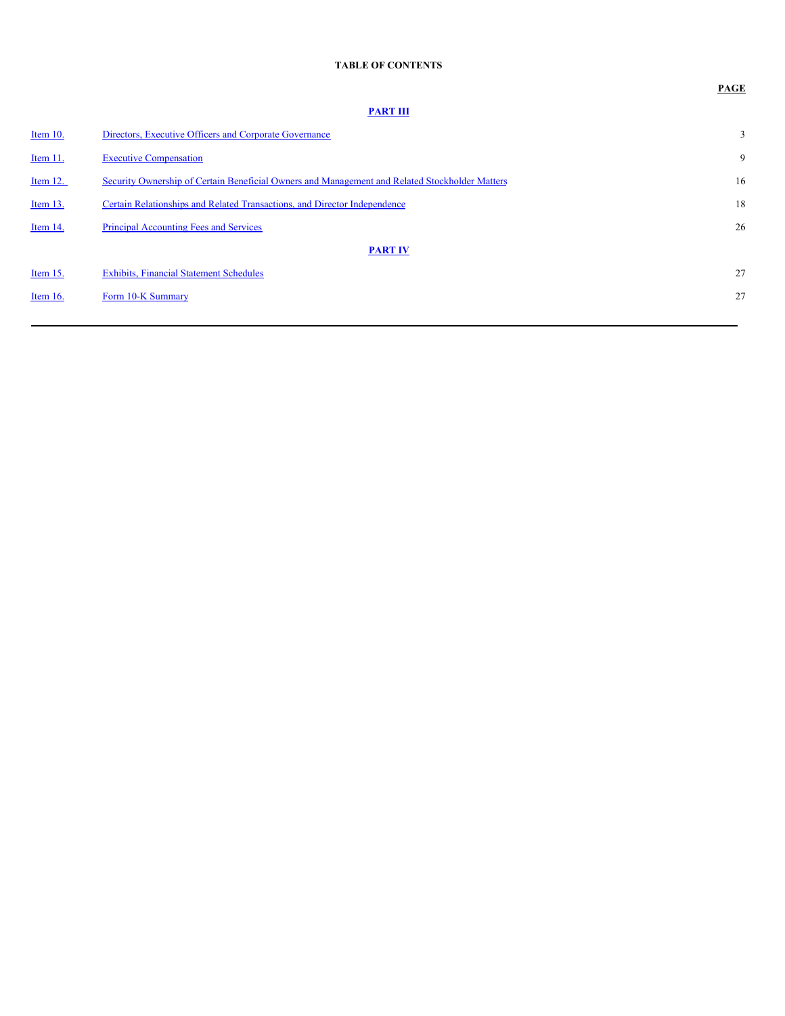# **TABLE OF CONTENTS**

|--|

|          | <b>PART III</b>                                                                                |    |
|----------|------------------------------------------------------------------------------------------------|----|
| Item 10. | Directors, Executive Officers and Corporate Governance                                         | 3  |
| Item 11. | <b>Executive Compensation</b>                                                                  | 9  |
| Item 12. | Security Ownership of Certain Beneficial Owners and Management and Related Stockholder Matters | 16 |
| Item 13. | Certain Relationships and Related Transactions, and Director Independence                      | 18 |
| Item 14. | <b>Principal Accounting Fees and Services</b>                                                  | 26 |
|          | <b>PART IV</b>                                                                                 |    |
| Item 15. | <b>Exhibits. Financial Statement Schedules</b>                                                 | 27 |
| Item 16. | Form 10-K Summary                                                                              | 27 |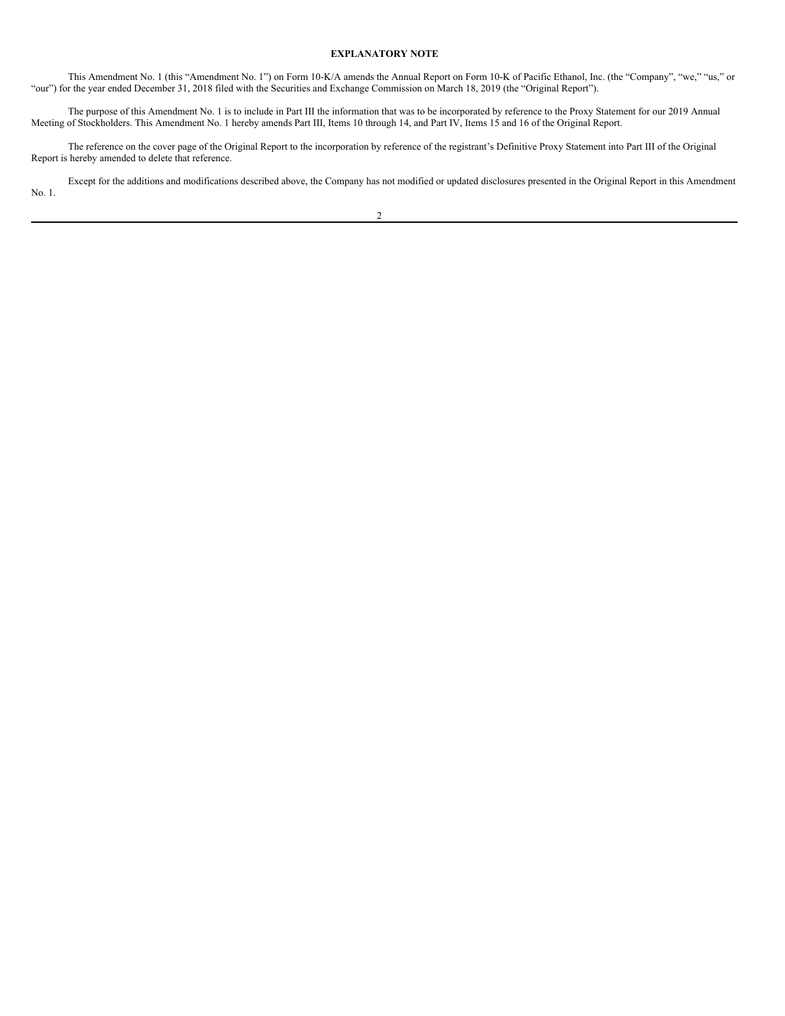### **EXPLANATORY NOTE**

This Amendment No. 1 (this "Amendment No. 1") on Form 10-K/A amends the Annual Report on Form 10-K of Pacific Ethanol, Inc. (the "Company", "we," "us," or "our") for the year ended December 31, 2018 filed with the Securities and Exchange Commission on March 18, 2019 (the "Original Report").

The purpose of this Amendment No. 1 is to include in Part III the information that was to be incorporated by reference to the Proxy Statement for our 2019 Annual Meeting of Stockholders. This Amendment No. 1 hereby amends Part III, Items 10 through 14, and Part IV, Items 15 and 16 of the Original Report.

The reference on the cover page of the Original Report to the incorporation by reference of the registrant's Definitive Proxy Statement into Part III of the Original Report is hereby amended to delete that reference.

Except for the additions and modifications described above, the Company has not modified or updated disclosures presented in the Original Report in this Amendment No. 1.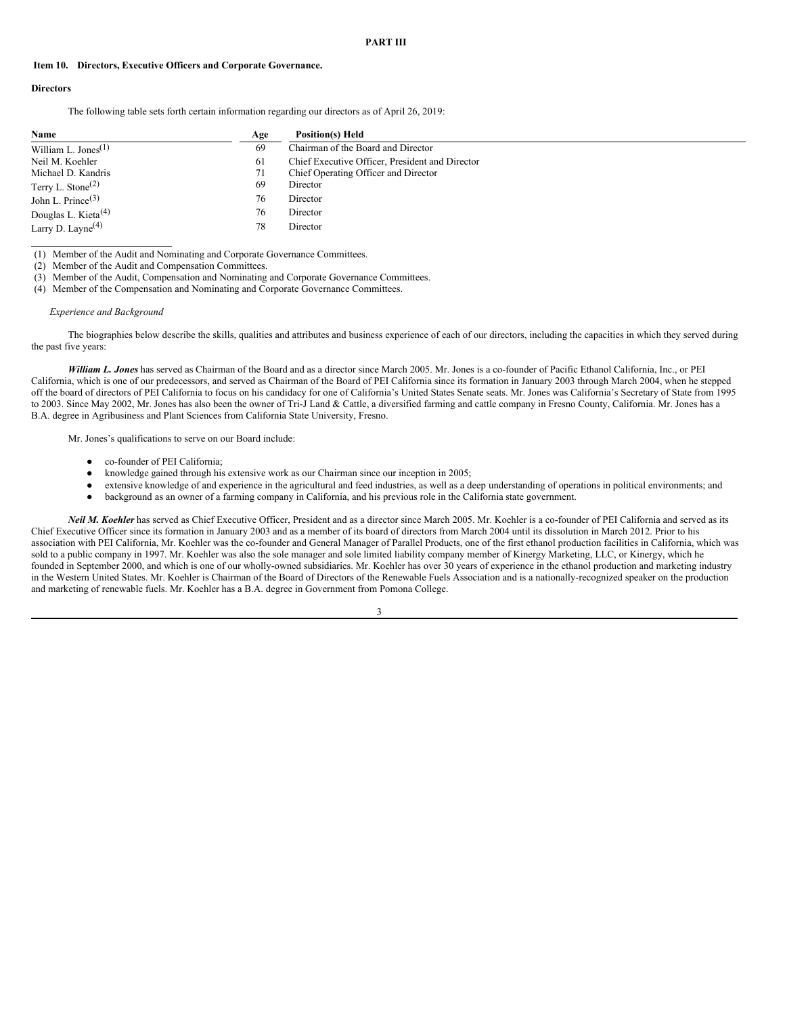### <span id="page-3-0"></span>**PART III**

### <span id="page-3-1"></span>**Item 10. Directors, Executive Officers and Corporate Governance.**

#### **Directors**

The following table sets forth certain information regarding our directors as of April 26, 2019:

| Name                                         | Age | <b>Position(s) Held</b>                         |
|----------------------------------------------|-----|-------------------------------------------------|
| William L. Jones <sup><math>(1)</math></sup> | 69  | Chairman of the Board and Director              |
| Neil M. Koehler                              | 61  | Chief Executive Officer, President and Director |
| Michael D. Kandris                           | 71  | Chief Operating Officer and Director            |
| Terry L. Stone <sup><math>(2)</math></sup>   | 69  | Director                                        |
| John L. Prince $(3)$                         | 76  | Director                                        |
| Douglas L. Kieta <sup>(4)</sup>              | 76  | Director                                        |
| Larry D. Layne <sup><math>(4)</math></sup>   | 78  | Director                                        |

(1) Member of the Audit and Nominating and Corporate Governance Committees.

(2) Member of the Audit and Compensation Committees.

(3) Member of the Audit, Compensation and Nominating and Corporate Governance Committees.

(4) Member of the Compensation and Nominating and Corporate Governance Committees.

### *Experience and Background*

The biographies below describe the skills, qualities and attributes and business experience of each of our directors, including the capacities in which they served during the past five years:

*William L. Jones* has served as Chairman of the Board and as a director since March 2005. Mr. Jones is a co-founder of Pacific Ethanol California, Inc., or PEI California, which is one of our predecessors, and served as Chairman of the Board of PEI California since its formation in January 2003 through March 2004, when he stepped off the board of directors of PEI California to focus on his candidacy for one of California's United States Senate seats. Mr. Jones was California's Secretary of State from 1995 to 2003. Since May 2002, Mr. Jones has also been the owner of Tri-J Land & Cattle, a diversified farming and cattle company in Fresno County, California. Mr. Jones has a B.A. degree in Agribusiness and Plant Sciences from California State University, Fresno.

Mr. Jones's qualifications to serve on our Board include:

- co-founder of PEI California:
- knowledge gained through his extensive work as our Chairman since our inception in 2005;
- extensive knowledge of and experience in the agricultural and feed industries, as well as a deep understanding of operations in political environments; and
- background as an owner of a farming company in California, and his previous role in the California state government.

*Neil M. Koehler* has served as Chief Executive Officer, President and as a director since March 2005. Mr. Koehler is a co-founder of PEI California and served as its Chief Executive Officer since its formation in January 2003 and as a member of its board of directors from March 2004 until its dissolution in March 2012. Prior to his association with PEI California, Mr. Koehler was the co-founder and General Manager of Parallel Products, one of the first ethanol production facilities in California, which was sold to a public company in 1997. Mr. Koehler was also the sole manager and sole limited liability company member of Kinergy Marketing, LLC, or Kinergy, which he founded in September 2000, and which is one of our wholly-owned subsidiaries. Mr. Koehler has over 30 years of experience in the ethanol production and marketing industry in the Western United States. Mr. Koehler is Chairman of the Board of Directors of the Renewable Fuels Association and is a nationally-recognized speaker on the production and marketing of renewable fuels. Mr. Koehler has a B.A. degree in Government from Pomona College.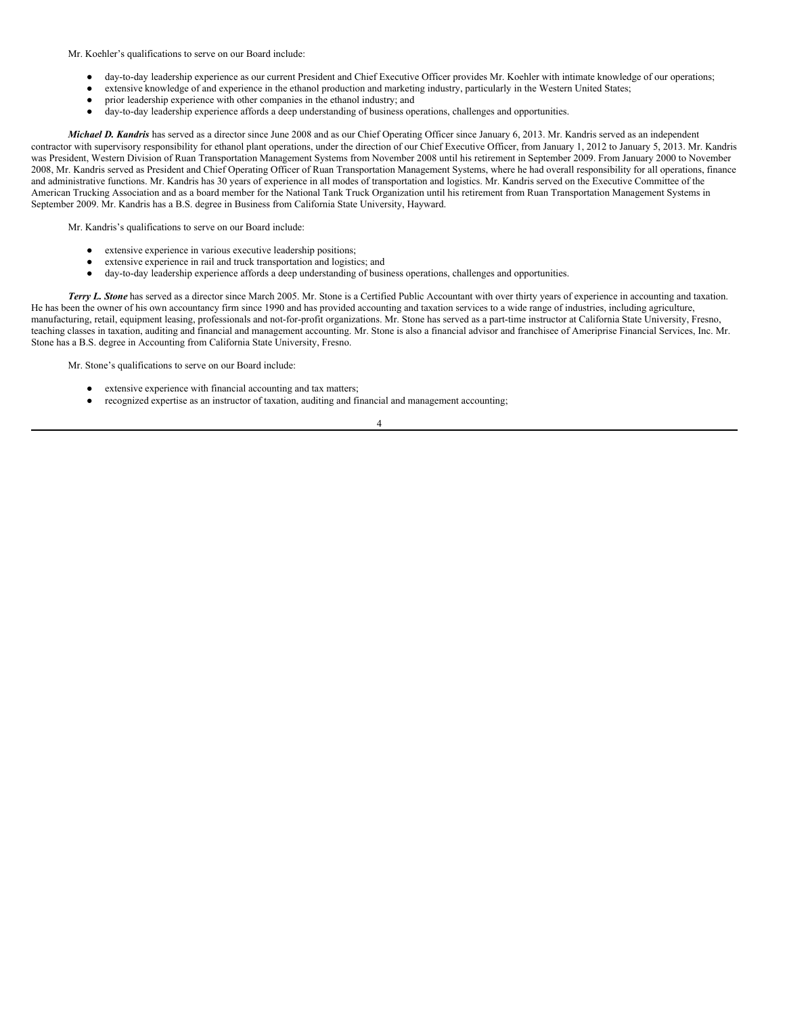Mr. Koehler's qualifications to serve on our Board include:

- day-to-day leadership experience as our current President and Chief Executive Officer provides Mr. Koehler with intimate knowledge of our operations;
- extensive knowledge of and experience in the ethanol production and marketing industry, particularly in the Western United States;
- prior leadership experience with other companies in the ethanol industry; and
- day-to-day leadership experience affords a deep understanding of business operations, challenges and opportunities.

*Michael D. Kandris* has served as a director since June 2008 and as our Chief Operating Officer since January 6, 2013. Mr. Kandris served as an independent contractor with supervisory responsibility for ethanol plant operations, under the direction of our Chief Executive Officer, from January 1, 2012 to January 5, 2013. Mr. Kandris was President, Western Division of Ruan Transportation Management Systems from November 2008 until his retirement in September 2009. From January 2000 to November 2008, Mr. Kandris served as President and Chief Operating Officer of Ruan Transportation Management Systems, where he had overall responsibility for all operations, finance and administrative functions. Mr. Kandris has 30 years of experience in all modes of transportation and logistics. Mr. Kandris served on the Executive Committee of the American Trucking Association and as a board member for the National Tank Truck Organization until his retirement from Ruan Transportation Management Systems in September 2009. Mr. Kandris has a B.S. degree in Business from California State University, Hayward.

Mr. Kandris's qualifications to serve on our Board include:

- extensive experience in various executive leadership positions;
- extensive experience in rail and truck transportation and logistics; and
- day-to-day leadership experience affords a deep understanding of business operations, challenges and opportunities.

*Terry L. Stone* has served as a director since March 2005. Mr. Stone is a Certified Public Accountant with over thirty years of experience in accounting and taxation. He has been the owner of his own accountancy firm since 1990 and has provided accounting and taxation services to a wide range of industries, including agriculture, manufacturing, retail, equipment leasing, professionals and not-for-profit organizations. Mr. Stone has served as a part-time instructor at California State University, Fresno, teaching classes in taxation, auditing and financial and management accounting. Mr. Stone is also a financial advisor and franchisee of Ameriprise Financial Services, Inc. Mr. Stone has a B.S. degree in Accounting from California State University, Fresno.

Mr. Stone's qualifications to serve on our Board include:

- extensive experience with financial accounting and tax matters;
- recognized expertise as an instructor of taxation, auditing and financial and management accounting;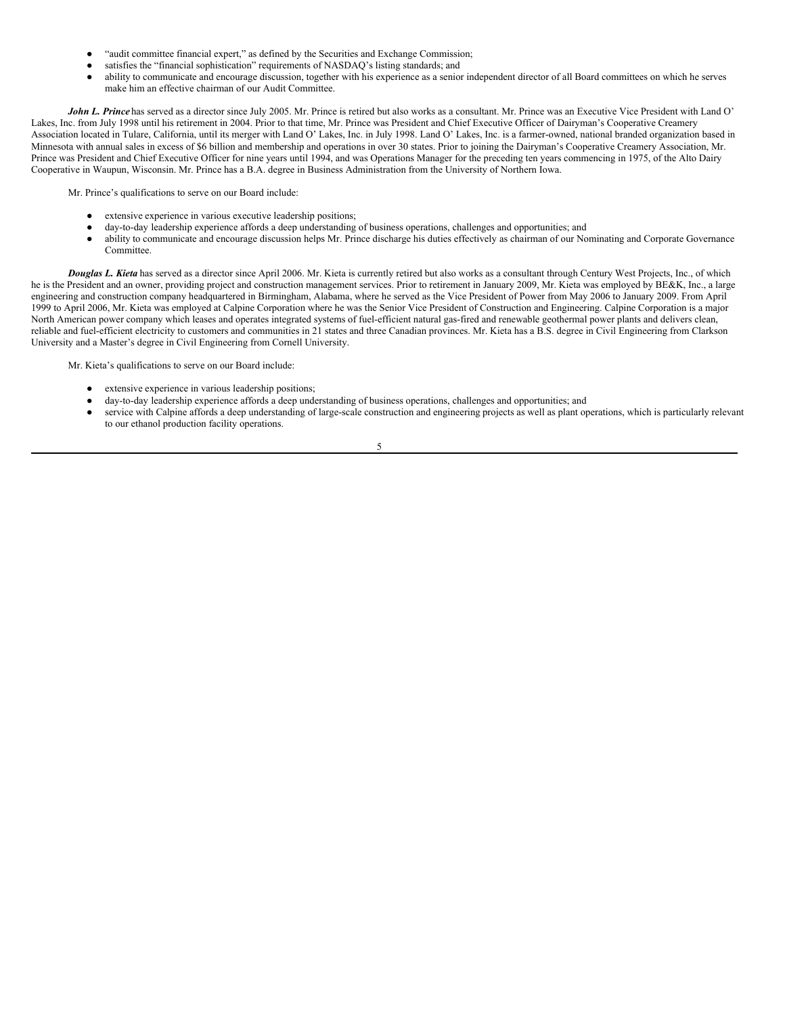- "audit committee financial expert," as defined by the Securities and Exchange Commission;
- satisfies the "financial sophistication" requirements of NASDAQ's listing standards; and
- ability to communicate and encourage discussion, together with his experience as a senior independent director of all Board committees on which he serves make him an effective chairman of our Audit Committee.

*John L. Prince* has served as a director since July 2005. Mr. Prince is retired but also works as a consultant. Mr. Prince was an Executive Vice President with Land O' Lakes, Inc. from July 1998 until his retirement in 2004. Prior to that time, Mr. Prince was President and Chief Executive Officer of Dairyman's Cooperative Creamery Association located in Tulare, California, until its merger with Land O' Lakes, Inc. in July 1998. Land O' Lakes, Inc. is a farmer-owned, national branded organization based in Minnesota with annual sales in excess of \$6 billion and membership and operations in over 30 states. Prior to joining the Dairyman's Cooperative Creamery Association, Mr. Prince was President and Chief Executive Officer for nine years until 1994, and was Operations Manager for the preceding ten years commencing in 1975, of the Alto Dairy Cooperative in Waupun, Wisconsin. Mr. Prince has a B.A. degree in Business Administration from the University of Northern Iowa.

Mr. Prince's qualifications to serve on our Board include:

- extensive experience in various executive leadership positions;
- day-to-day leadership experience affords a deep understanding of business operations, challenges and opportunities; and
- ability to communicate and encourage discussion helps Mr. Prince discharge his duties effectively as chairman of our Nominating and Corporate Governance Committee.

*Douglas L. Kieta* has served as a director since April 2006. Mr. Kieta is currently retired but also works as a consultant through Century West Projects, Inc., of which he is the President and an owner, providing project and construction management services. Prior to retirement in January 2009, Mr. Kieta was employed by BE&K, Inc., a large engineering and construction company headquartered in Birmingham, Alabama, where he served as the Vice President of Power from May 2006 to January 2009. From April 1999 to April 2006, Mr. Kieta was employed at Calpine Corporation where he was the Senior Vice President of Construction and Engineering. Calpine Corporation is a major North American power company which leases and operates integrated systems of fuel-efficient natural gas-fired and renewable geothermal power plants and delivers clean, reliable and fuel-efficient electricity to customers and communities in 21 states and three Canadian provinces. Mr. Kieta has a B.S. degree in Civil Engineering from Clarkson University and a Master's degree in Civil Engineering from Cornell University.

Mr. Kieta's qualifications to serve on our Board include:

- extensive experience in various leadership positions;
- day-to-day leadership experience affords a deep understanding of business operations, challenges and opportunities; and
- service with Calpine affords a deep understanding of large-scale construction and engineering projects as well as plant operations, which is particularly relevant to our ethanol production facility operations.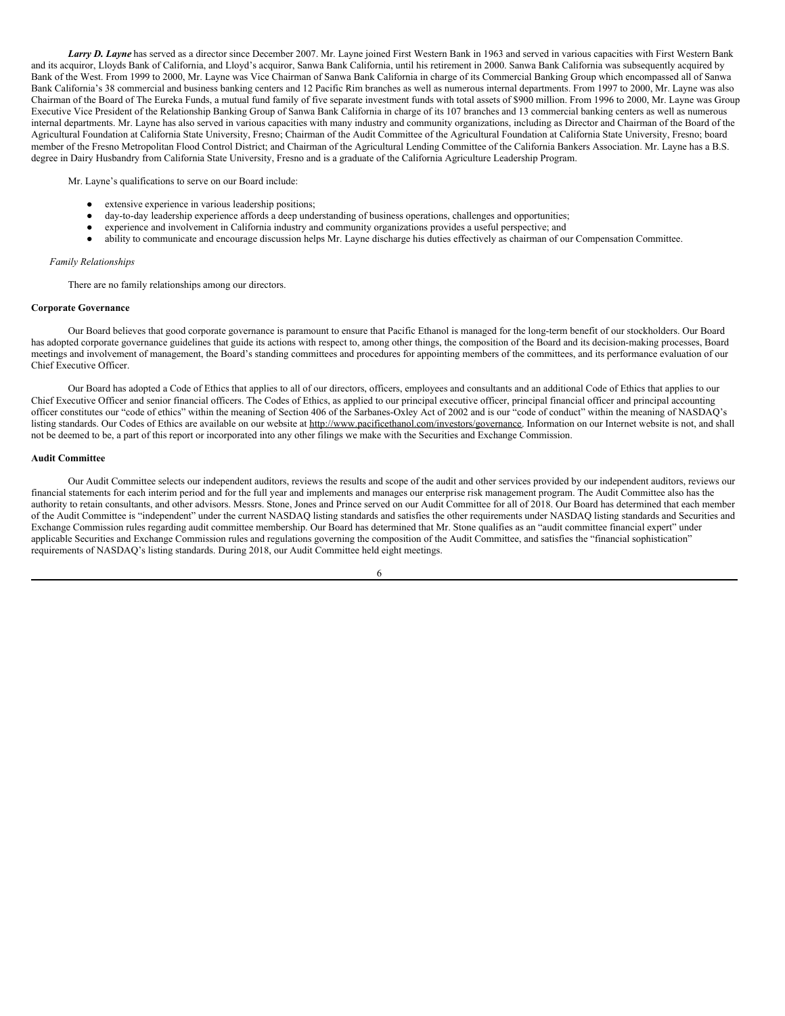*Larry D. Layne* has served as a director since December 2007. Mr. Layne joined First Western Bank in 1963 and served in various capacities with First Western Bank and its acquiror, Lloyds Bank of California, and Lloyd's acquiror, Sanwa Bank California, until his retirement in 2000. Sanwa Bank California was subsequently acquired by Bank of the West. From 1999 to 2000, Mr. Layne was Vice Chairman of Sanwa Bank California in charge of its Commercial Banking Group which encompassed all of Sanwa Bank California's 38 commercial and business banking centers and 12 Pacific Rim branches as well as numerous internal departments. From 1997 to 2000, Mr. Layne was also Chairman of the Board of The Eureka Funds, a mutual fund family of five separate investment funds with total assets of \$900 million. From 1996 to 2000, Mr. Layne was Group Executive Vice President of the Relationship Banking Group of Sanwa Bank California in charge of its 107 branches and 13 commercial banking centers as well as numerous internal departments. Mr. Layne has also served in various capacities with many industry and community organizations, including as Director and Chairman of the Board of the Agricultural Foundation at California State University, Fresno; Chairman of the Audit Committee of the Agricultural Foundation at California State University, Fresno; board member of the Fresno Metropolitan Flood Control District; and Chairman of the Agricultural Lending Committee of the California Bankers Association. Mr. Layne has a B.S. degree in Dairy Husbandry from California State University, Fresno and is a graduate of the California Agriculture Leadership Program.

Mr. Layne's qualifications to serve on our Board include:

- extensive experience in various leadership positions;
- day-to-day leadership experience affords a deep understanding of business operations, challenges and opportunities;
- experience and involvement in California industry and community organizations provides a useful perspective; and
- ability to communicate and encourage discussion helps Mr. Layne discharge his duties effectively as chairman of our Compensation Committee.

#### *Family Relationships*

There are no family relationships among our directors.

### **Corporate Governance**

Our Board believes that good corporate governance is paramount to ensure that Pacific Ethanol is managed for the long-term benefit of our stockholders. Our Board has adopted corporate governance guidelines that guide its actions with respect to, among other things, the composition of the Board and its decision-making processes, Board meetings and involvement of management, the Board's standing committees and procedures for appointing members of the committees, and its performance evaluation of our Chief Executive Officer.

Our Board has adopted a Code of Ethics that applies to all of our directors, officers, employees and consultants and an additional Code of Ethics that applies to our Chief Executive Officer and senior financial officers. The Codes of Ethics, as applied to our principal executive officer, principal financial officer and principal accounting officer constitutes our "code of ethics" within the meaning of Section 406 of the Sarbanes-Oxley Act of 2002 and is our "code of conduct" within the meaning of NASDAQ's listing standards. Our Codes of Ethics are available on our website at http://www.pacificethanol.com/investors/governance. Information on our Internet website is not, and shall not be deemed to be, a part of this report or incorporated into any other filings we make with the Securities and Exchange Commission.

### **Audit Committee**

Our Audit Committee selects our independent auditors, reviews the results and scope of the audit and other services provided by our independent auditors, reviews our financial statements for each interim period and for the full year and implements and manages our enterprise risk management program. The Audit Committee also has the authority to retain consultants, and other advisors. Messrs. Stone, Jones and Prince served on our Audit Committee for all of 2018. Our Board has determined that each member of the Audit Committee is "independent" under the current NASDAQ listing standards and satisfies the other requirements under NASDAQ listing standards and Securities and Exchange Commission rules regarding audit committee membership. Our Board has determined that Mr. Stone qualifies as an "audit committee financial expert" under applicable Securities and Exchange Commission rules and regulations governing the composition of the Audit Committee, and satisfies the "financial sophistication" requirements of NASDAQ's listing standards. During 2018, our Audit Committee held eight meetings.

| ٠                |  |
|------------------|--|
| I<br>I<br>×<br>٧ |  |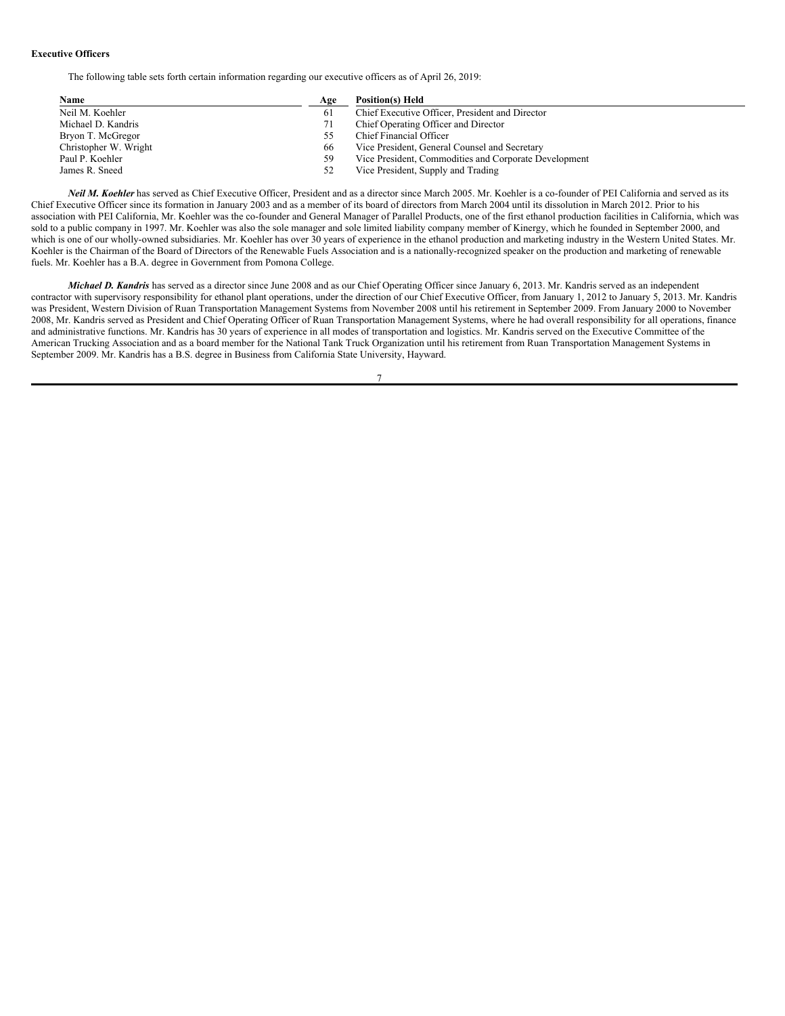### **Executive Officers**

The following table sets forth certain information regarding our executive officers as of April 26, 2019:

| Name                  | Age | <b>Position(s)</b> Held                               |
|-----------------------|-----|-------------------------------------------------------|
| Neil M. Koehler       | 61  | Chief Executive Officer, President and Director       |
| Michael D. Kandris    |     | Chief Operating Officer and Director                  |
| Bryon T. McGregor     | 55  | Chief Financial Officer                               |
| Christopher W. Wright | 66  | Vice President, General Counsel and Secretary         |
| Paul P. Koehler       | 59  | Vice President, Commodities and Corporate Development |
| James R. Sneed        | 52  | Vice President, Supply and Trading                    |

*Neil M. Koehler* has served as Chief Executive Officer, President and as a director since March 2005. Mr. Koehler is a co-founder of PEI California and served as its Chief Executive Officer since its formation in January 2003 and as a member of its board of directors from March 2004 until its dissolution in March 2012. Prior to his association with PEI California, Mr. Koehler was the co-founder and General Manager of Parallel Products, one of the first ethanol production facilities in California, which was sold to a public company in 1997. Mr. Koehler was also the sole manager and sole limited liability company member of Kinergy, which he founded in September 2000, and which is one of our wholly-owned subsidiaries. Mr. Koehler has over 30 years of experience in the ethanol production and marketing industry in the Western United States. Mr. Koehler is the Chairman of the Board of Directors of the Renewable Fuels Association and is a nationally-recognized speaker on the production and marketing of renewable fuels. Mr. Koehler has a B.A. degree in Government from Pomona College.

*Michael D. Kandris* has served as a director since June 2008 and as our Chief Operating Officer since January 6, 2013. Mr. Kandris served as an independent contractor with supervisory responsibility for ethanol plant operations, under the direction of our Chief Executive Officer, from January 1, 2012 to January 5, 2013. Mr. Kandris was President, Western Division of Ruan Transportation Management Systems from November 2008 until his retirement in September 2009. From January 2000 to November 2008, Mr. Kandris served as President and Chief Operating Officer of Ruan Transportation Management Systems, where he had overall responsibility for all operations, finance and administrative functions. Mr. Kandris has 30 years of experience in all modes of transportation and logistics. Mr. Kandris served on the Executive Committee of the American Trucking Association and as a board member for the National Tank Truck Organization until his retirement from Ruan Transportation Management Systems in September 2009. Mr. Kandris has a B.S. degree in Business from California State University, Hayward.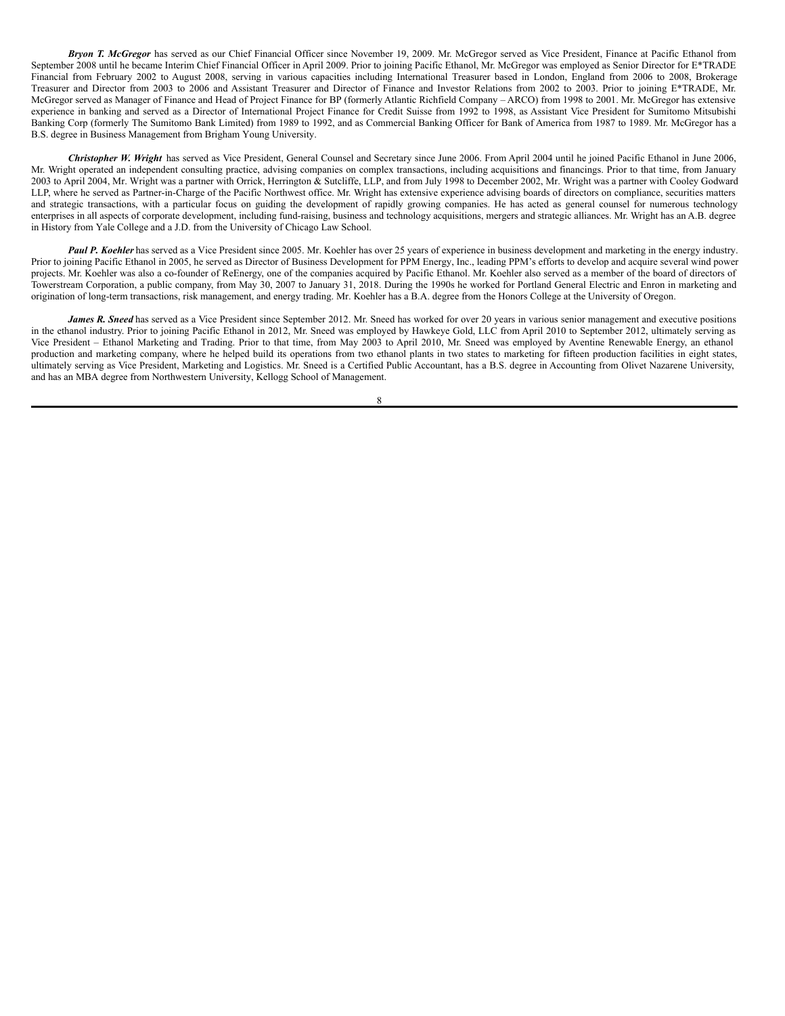*Bryon T. McGregor* has served as our Chief Financial Officer since November 19, 2009. Mr. McGregor served as Vice President, Finance at Pacific Ethanol from September 2008 until he became Interim Chief Financial Officer in April 2009. Prior to joining Pacific Ethanol, Mr. McGregor was employed as Senior Director for E\*TRADE Financial from February 2002 to August 2008, serving in various capacities including International Treasurer based in London, England from 2006 to 2008, Brokerage Treasurer and Director from 2003 to 2006 and Assistant Treasurer and Director of Finance and Investor Relations from 2002 to 2003. Prior to joining E\*TRADE, Mr. McGregor served as Manager of Finance and Head of Project Finance for BP (formerly Atlantic Richfield Company – ARCO) from 1998 to 2001. Mr. McGregor has extensive experience in banking and served as a Director of International Project Finance for Credit Suisse from 1992 to 1998, as Assistant Vice President for Sumitomo Mitsubishi Banking Corp (formerly The Sumitomo Bank Limited) from 1989 to 1992, and as Commercial Banking Officer for Bank of America from 1987 to 1989. Mr. McGregor has a B.S. degree in Business Management from Brigham Young University.

*Christopher W. Wright* has served as Vice President, General Counsel and Secretary since June 2006. From April 2004 until he joined Pacific Ethanol in June 2006, Mr. Wright operated an independent consulting practice, advising companies on complex transactions, including acquisitions and financings. Prior to that time, from January 2003 to April 2004, Mr. Wright was a partner with Orrick, Herrington & Sutcliffe, LLP, and from July 1998 to December 2002, Mr. Wright was a partner with Cooley Godward LLP, where he served as Partner-in-Charge of the Pacific Northwest office. Mr. Wright has extensive experience advising boards of directors on compliance, securities matters and strategic transactions, with a particular focus on guiding the development of rapidly growing companies. He has acted as general counsel for numerous technology enterprises in all aspects of corporate development, including fund-raising, business and technology acquisitions, mergers and strategic alliances. Mr. Wright has an A.B. degree in History from Yale College and a J.D. from the University of Chicago Law School.

Paul P. Koehler has served as a Vice President since 2005. Mr. Koehler has over 25 years of experience in business development and marketing in the energy industry. Prior to joining Pacific Ethanol in 2005, he served as Director of Business Development for PPM Energy, Inc., leading PPM's efforts to develop and acquire several wind power projects. Mr. Koehler was also a co-founder of ReEnergy, one of the companies acquired by Pacific Ethanol. Mr. Koehler also served as a member of the board of directors of Towerstream Corporation, a public company, from May 30, 2007 to January 31, 2018. During the 1990s he worked for Portland General Electric and Enron in marketing and origination of long-term transactions, risk management, and energy trading. Mr. Koehler has a B.A. degree from the Honors College at the University of Oregon.

*James R. Sneed* has served as a Vice President since September 2012. Mr. Sneed has worked for over 20 years in various senior management and executive positions in the ethanol industry. Prior to joining Pacific Ethanol in 2012, Mr. Sneed was employed by Hawkeye Gold, LLC from April 2010 to September 2012, ultimately serving as Vice President – Ethanol Marketing and Trading. Prior to that time, from May 2003 to April 2010, Mr. Sneed was employed by Aventine Renewable Energy, an ethanol production and marketing company, where he helped build its operations from two ethanol plants in two states to marketing for fifteen production facilities in eight states, ultimately serving as Vice President, Marketing and Logistics. Mr. Sneed is a Certified Public Accountant, has a B.S. degree in Accounting from Olivet Nazarene University, and has an MBA degree from Northwestern University, Kellogg School of Management.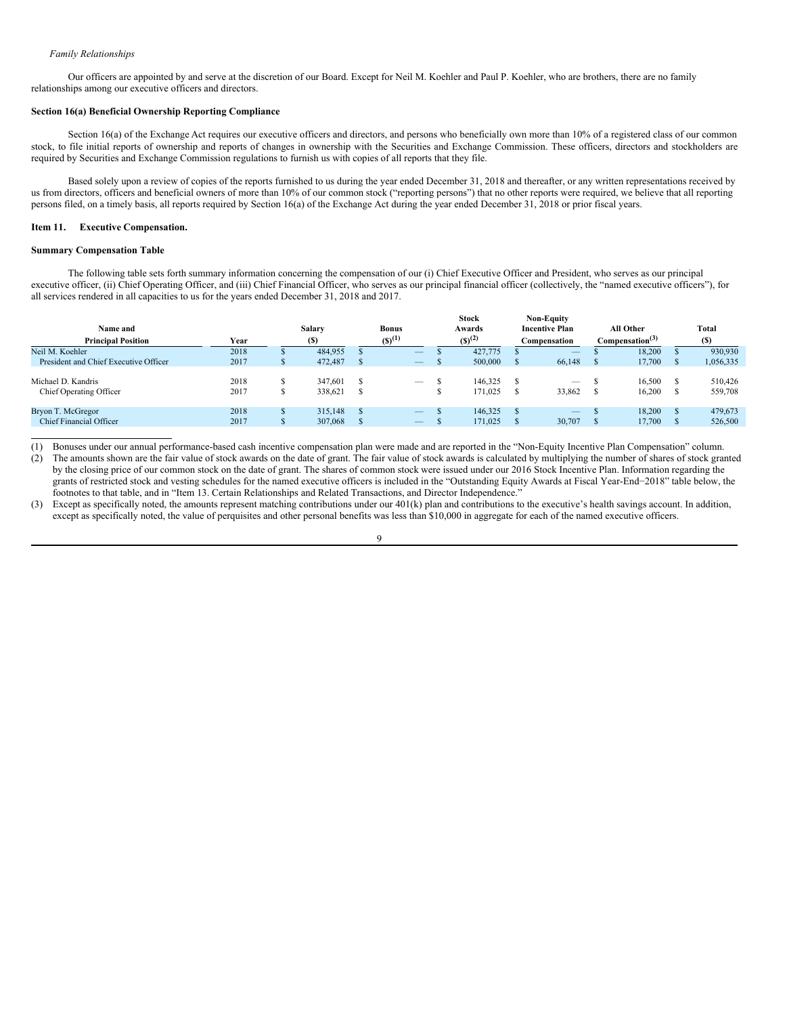### *Family Relationships*

Our officers are appointed by and serve at the discretion of our Board. Except for Neil M. Koehler and Paul P. Koehler, who are brothers, there are no family relationships among our executive officers and directors.

### **Section 16(a) Beneficial Ownership Reporting Compliance**

Section 16(a) of the Exchange Act requires our executive officers and directors, and persons who beneficially own more than 10% of a registered class of our common stock, to file initial reports of ownership and reports of changes in ownership with the Securities and Exchange Commission. These officers, directors and stockholders are required by Securities and Exchange Commission regulations to furnish us with copies of all reports that they file.

Based solely upon a review of copies of the reports furnished to us during the year ended December 31, 2018 and thereafter, or any written representations received by us from directors, officers and beneficial owners of more than 10% of our common stock ("reporting persons") that no other reports were required, we believe that all reporting persons filed, on a timely basis, all reports required by Section 16(a) of the Exchange Act during the year ended December 31, 2018 or prior fiscal years.

### <span id="page-9-0"></span>**Item 11. Executive Compensation.**

### **Summary Compensation Table**

The following table sets forth summary information concerning the compensation of our (i) Chief Executive Officer and President, who serves as our principal executive officer, (ii) Chief Operating Officer, and (iii) Chief Financial Officer, who serves as our principal financial officer (collectively, the "named executive officers"), for all services rendered in all capacities to us for the years ended December 31, 2018 and 2017.

| <b>Name and</b>                       |      |   | Salary  | <b>Bonus</b>                    | <b>Stock</b><br>Awards | <b>Non-Equity</b><br><b>Incentive Plan</b> | All Other                   | Total     |
|---------------------------------------|------|---|---------|---------------------------------|------------------------|--------------------------------------------|-----------------------------|-----------|
| <b>Principal Position</b>             | Year |   | (S)     | $(5)^{(1)}$                     | $(S)^{(2)}$            | Compensation                               | Compensation <sup>(3)</sup> | (S)       |
| Neil M. Koehler                       | 2018 |   | 484.955 | $\qquad \qquad - \qquad$        | 427,775                |                                            | 18.200                      | 930,930   |
| President and Chief Executive Officer | 2017 | J | 472,487 |                                 | 500,000                | 66,148                                     | 17.700                      | 1,056,335 |
|                                       |      |   |         |                                 |                        |                                            |                             |           |
| Michael D. Kandris                    | 2018 |   | 347,601 | $-$                             | 146.325                | $-$                                        | 16.500                      | 510,426   |
| Chief Operating Officer               | 2017 |   | 338.621 |                                 | 171.025                | 33,862                                     | 16.200                      | 559,708   |
|                                       |      |   |         |                                 |                        |                                            |                             |           |
| Bryon T. McGregor                     | 2018 |   | 315,148 | $\hspace{0.1mm}-\hspace{0.1mm}$ | 146,325                |                                            | 18.200                      | 479,673   |
| Chief Financial Officer               | 2017 | J | 307,068 | $\overline{\phantom{m}}$        | 171.025                | 30,707                                     | 17,700                      | 526,500   |
|                                       |      |   |         |                                 |                        |                                            |                             |           |

(1) Bonuses under our annual performance-based cash incentive compensation plan were made and are reported in the "Non-Equity Incentive Plan Compensation" column.

(2) The amounts shown are the fair value of stock awards on the date of grant. The fair value of stock awards is calculated by multiplying the number of shares of stock granted by the closing price of our common stock on the date of grant. The shares of common stock were issued under our 2016 Stock Incentive Plan. Information regarding the grants of restricted stock and vesting schedules for the named executive officers is included in the "Outstanding Equity Awards at Fiscal Year-End−2018" table below, the footnotes to that table, and in "Item 13. Certain Relationships and Related Transactions, and Director Independence."

(3) Except as specifically noted, the amounts represent matching contributions under our 401(k) plan and contributions to the executive's health savings account. In addition, except as specifically noted, the value of perquisites and other personal benefits was less than \$10,000 in aggregate for each of the named executive officers.

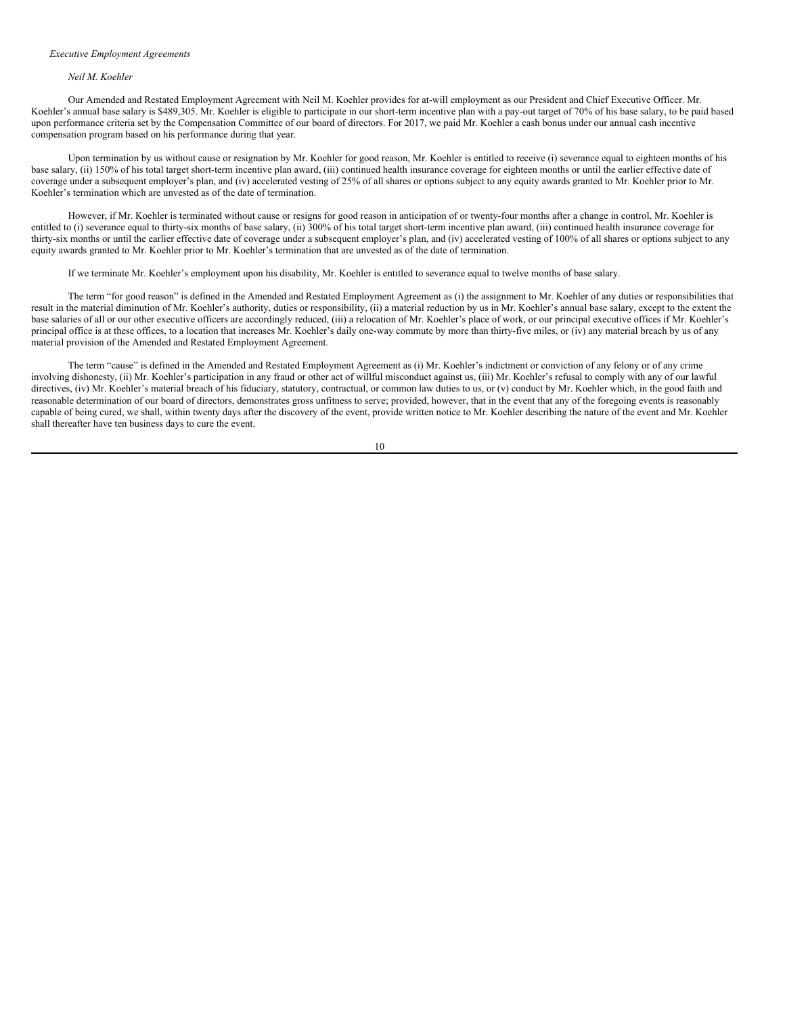### *Executive Employment Agreements*

### *Neil M. Koehler*

Our Amended and Restated Employment Agreement with Neil M. Koehler provides for at-will employment as our President and Chief Executive Officer. Mr. Koehler's annual base salary is \$489,305. Mr. Koehler is eligible to participate in our short-term incentive plan with a pay-out target of 70% of his base salary, to be paid based upon performance criteria set by the Compensation Committee of our board of directors. For 2017, we paid Mr. Koehler a cash bonus under our annual cash incentive compensation program based on his performance during that year.

Upon termination by us without cause or resignation by Mr. Koehler for good reason, Mr. Koehler is entitled to receive (i) severance equal to eighteen months of his base salary, (ii) 150% of his total target short-term incentive plan award, (iii) continued health insurance coverage for eighteen months or until the earlier effective date of coverage under a subsequent employer's plan, and (iv) accelerated vesting of 25% of all shares or options subject to any equity awards granted to Mr. Koehler prior to Mr. Koehler's termination which are unvested as of the date of termination.

However, if Mr. Koehler is terminated without cause or resigns for good reason in anticipation of or twenty-four months after a change in control, Mr. Koehler is entitled to (i) severance equal to thirty-six months of base salary, (ii) 300% of his total target short-term incentive plan award, (iii) continued health insurance coverage for thirty-six months or until the earlier effective date of coverage under a subsequent employer's plan, and (iv) accelerated vesting of 100% of all shares or options subject to any equity awards granted to Mr. Koehler prior to Mr. Koehler's termination that are unvested as of the date of termination.

If we terminate Mr. Koehler's employment upon his disability, Mr. Koehler is entitled to severance equal to twelve months of base salary.

The term "for good reason" is defined in the Amended and Restated Employment Agreement as (i) the assignment to Mr. Koehler of any duties or responsibilities that result in the material diminution of Mr. Koehler's authority, duties or responsibility, (ii) a material reduction by us in Mr. Koehler's annual base salary, except to the extent the base salaries of all or our other executive officers are accordingly reduced, (iii) a relocation of Mr. Koehler's place of work, or our principal executive offices if Mr. Koehler's principal office is at these offices, to a location that increases Mr. Koehler's daily one-way commute by more than thirty-five miles, or (iv) any material breach by us of any material provision of the Amended and Restated Employment Agreement.

The term "cause" is defined in the Amended and Restated Employment Agreement as (i) Mr. Koehler's indictment or conviction of any felony or of any crime involving dishonesty, (ii) Mr. Koehler's participation in any fraud or other act of willful misconduct against us, (iii) Mr. Koehler's refusal to comply with any of our lawful directives, (iv) Mr. Koehler's material breach of his fiduciary, statutory, contractual, or common law duties to us, or (v) conduct by Mr. Koehler which, in the good faith and reasonable determination of our board of directors, demonstrates gross unfitness to serve; provided, however, that in the event that any of the foregoing events is reasonably capable of being cured, we shall, within twenty days after the discovery of the event, provide written notice to Mr. Koehler describing the nature of the event and Mr. Koehler shall thereafter have ten business days to cure the event.

$$
10\quad
$$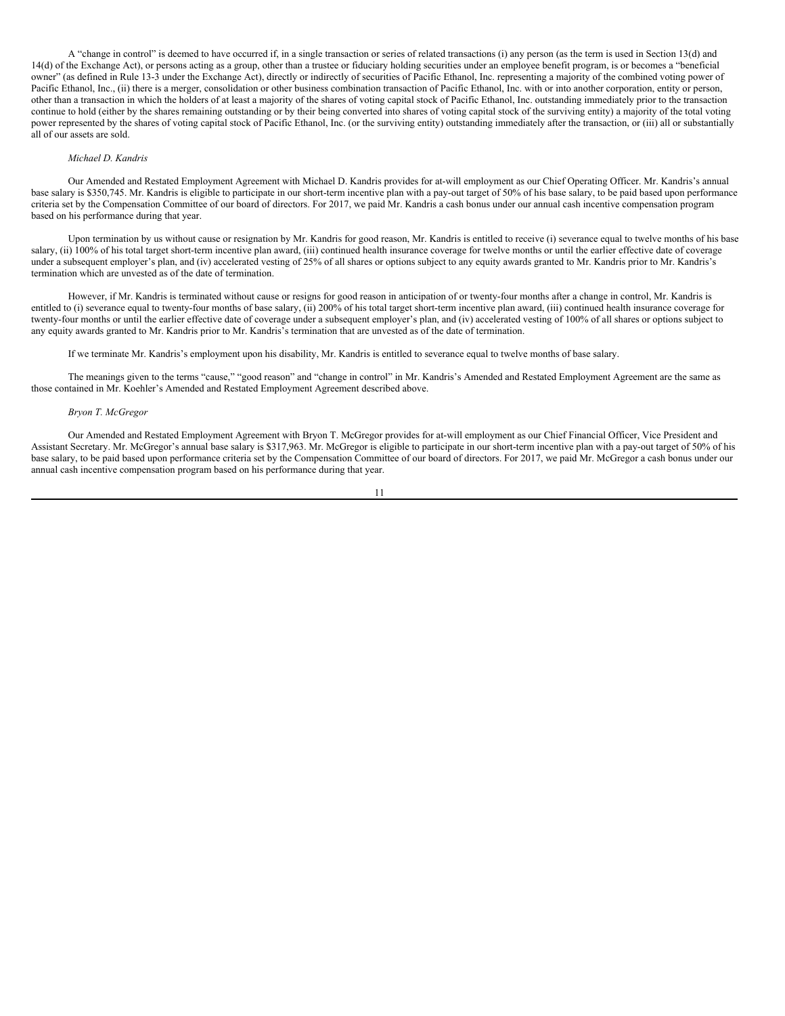A "change in control" is deemed to have occurred if, in a single transaction or series of related transactions (i) any person (as the term is used in Section 13(d) and 14(d) of the Exchange Act), or persons acting as a group, other than a trustee or fiduciary holding securities under an employee benefit program, is or becomes a "beneficial owner" (as defined in Rule 13-3 under the Exchange Act), directly or indirectly of securities of Pacific Ethanol, Inc. representing a majority of the combined voting power of Pacific Ethanol, Inc., (ii) there is a merger, consolidation or other business combination transaction of Pacific Ethanol, Inc. with or into another corporation, entity or person, other than a transaction in which the holders of at least a majority of the shares of voting capital stock of Pacific Ethanol, Inc. outstanding immediately prior to the transaction continue to hold (either by the shares remaining outstanding or by their being converted into shares of voting capital stock of the surviving entity) a majority of the total voting power represented by the shares of voting capital stock of Pacific Ethanol, Inc. (or the surviving entity) outstanding immediately after the transaction, or (iii) all or substantially all of our assets are sold.

#### *Michael D. Kandris*

Our Amended and Restated Employment Agreement with Michael D. Kandris provides for at-will employment as our Chief Operating Officer. Mr. Kandris's annual base salary is \$350,745. Mr. Kandris is eligible to participate in our short-term incentive plan with a pay-out target of 50% of his base salary, to be paid based upon performance criteria set by the Compensation Committee of our board of directors. For 2017, we paid Mr. Kandris a cash bonus under our annual cash incentive compensation program based on his performance during that year.

Upon termination by us without cause or resignation by Mr. Kandris for good reason, Mr. Kandris is entitled to receive (i) severance equal to twelve months of his base salary, (ii) 100% of his total target short-term incentive plan award, (iii) continued health insurance coverage for twelve months or until the earlier effective date of coverage under a subsequent employer's plan, and (iv) accelerated vesting of 25% of all shares or options subject to any equity awards granted to Mr. Kandris prior to Mr. Kandris's termination which are unvested as of the date of termination.

However, if Mr. Kandris is terminated without cause or resigns for good reason in anticipation of or twenty-four months after a change in control, Mr. Kandris is entitled to (i) severance equal to twenty-four months of base salary, (ii) 200% of his total target short-term incentive plan award, (iii) continued health insurance coverage for twenty-four months or until the earlier effective date of coverage under a subsequent employer's plan, and (iv) accelerated vesting of 100% of all shares or options subject to any equity awards granted to Mr. Kandris prior to Mr. Kandris's termination that are unvested as of the date of termination.

If we terminate Mr. Kandris's employment upon his disability, Mr. Kandris is entitled to severance equal to twelve months of base salary.

The meanings given to the terms "cause," "good reason" and "change in control" in Mr. Kandris's Amended and Restated Employment Agreement are the same as those contained in Mr. Koehler's Amended and Restated Employment Agreement described above.

#### *Bryon T. McGregor*

Our Amended and Restated Employment Agreement with Bryon T. McGregor provides for at-will employment as our Chief Financial Officer, Vice President and Assistant Secretary. Mr. McGregor's annual base salary is \$317,963. Mr. McGregor is eligible to participate in our short-term incentive plan with a pay-out target of 50% of his base salary, to be paid based upon performance criteria set by the Compensation Committee of our board of directors. For 2017, we paid Mr. McGregor a cash bonus under our annual cash incentive compensation program based on his performance during that year.

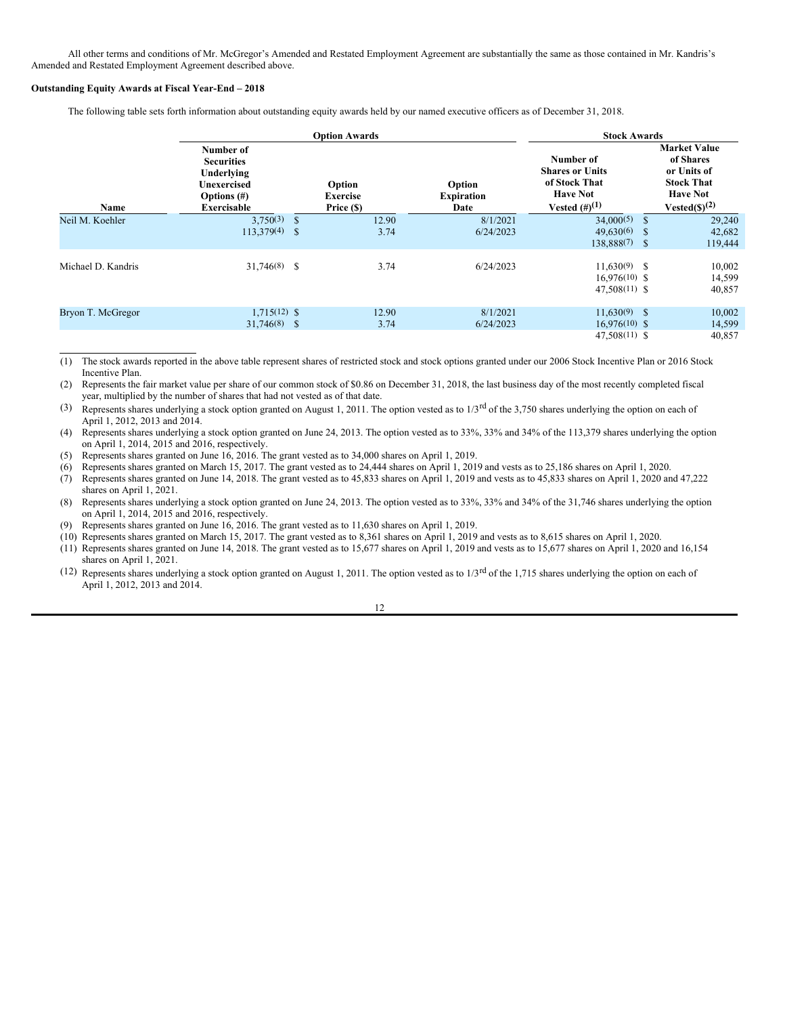All other terms and conditions of Mr. McGregor's Amended and Restated Employment Agreement are substantially the same as those contained in Mr. Kandris's Amended and Restated Employment Agreement described above.

## **Outstanding Equity Awards at Fiscal Year-End – 2018**

The following table sets forth information about outstanding equity awards held by our named executive officers as of December 31, 2018.

|                    |                                                                                                            |              | <b>Option Awards</b>                    | <b>Stock Awards</b>                 |                                                                                                |                                                                                                               |                             |  |  |
|--------------------|------------------------------------------------------------------------------------------------------------|--------------|-----------------------------------------|-------------------------------------|------------------------------------------------------------------------------------------------|---------------------------------------------------------------------------------------------------------------|-----------------------------|--|--|
| Name               | Number of<br><b>Securities</b><br>Underlying<br><b>Unexercised</b><br>Options $(\#)$<br><b>Exercisable</b> |              | Option<br><b>Exercise</b><br>Price (\$) | Option<br><b>Expiration</b><br>Date | Number of<br><b>Shares or Units</b><br>of Stock That<br><b>Have Not</b><br>Vested $(\#)^{(1)}$ | <b>Market Value</b><br>of Shares<br>or Units of<br><b>Stock That</b><br><b>Have Not</b><br>Vested $(S)^{(2)}$ |                             |  |  |
| Neil M. Koehler    | 3,750(3)<br>$113,379(4)$ \$                                                                                | <sup>S</sup> | 12.90<br>3.74                           | 8/1/2021<br>6/24/2023               | 34,000(5)<br>49,630(6)<br>$138,888(7)$ \$                                                      | -S<br>-S                                                                                                      | 29,240<br>42,682<br>119,444 |  |  |
| Michael D. Kandris | $31,746(8)$ \$                                                                                             |              | 3.74                                    | 6/24/2023                           | $11,630(9)$ \$<br>$16,976(10)$ \$<br>47,508(11) \$                                             |                                                                                                               | 10,002<br>14,599<br>40,857  |  |  |
| Bryon T. McGregor  | $1,715(12)$ \$<br>$31,746(8)$ \$                                                                           |              | 12.90<br>3.74                           | 8/1/2021<br>6/24/2023               | $11,630(9)$ \$<br>$16,976(10)$ \$<br>47,508(11) \$                                             |                                                                                                               | 10,002<br>14,599<br>40,857  |  |  |

(1) The stock awards reported in the above table represent shares of restricted stock and stock options granted under our 2006 Stock Incentive Plan or 2016 Stock Incentive Plan.

(2) Represents the fair market value per share of our common stock of \$0.86 on December 31, 2018, the last business day of the most recently completed fiscal year, multiplied by the number of shares that had not vested as of that date.

(3) Represents shares underlying a stock option granted on August 1, 2011. The option vested as to  $1/3<sup>rd</sup>$  of the 3,750 shares underlying the option on each of April 1, 2012, 2013 and 2014.

(4) Represents shares underlying a stock option granted on June 24, 2013. The option vested as to 33%, 33% and 34% of the 113,379 shares underlying the option on April 1, 2014, 2015 and 2016, respectively.

(5) Represents shares granted on June 16, 2016. The grant vested as to 34,000 shares on April 1, 2019.

(6) Represents shares granted on March 15, 2017. The grant vested as to 24,444 shares on April 1, 2019 and vests as to 25,186 shares on April 1, 2020.

(7) Represents shares granted on June 14, 2018. The grant vested as to 45,833 shares on April 1, 2019 and vests as to 45,833 shares on April 1, 2020 and 47,222 shares on April 1, 2021.

(8) Represents shares underlying a stock option granted on June 24, 2013. The option vested as to 33%, 33% and 34% of the 31,746 shares underlying the option on April 1, 2014, 2015 and 2016, respectively.

(9) Represents shares granted on June 16, 2016. The grant vested as to 11,630 shares on April 1, 2019.

(10) Represents shares granted on March 15, 2017. The grant vested as to 8,361 shares on April 1, 2019 and vests as to 8,615 shares on April 1, 2020.

(11) Represents shares granted on June 14, 2018. The grant vested as to 15,677 shares on April 1, 2019 and vests as to 15,677 shares on April 1, 2020 and 16,154 shares on April 1, 2021.

(12) Represents shares underlying a stock option granted on August 1, 2011. The option vested as to  $1/3<sup>rd</sup>$  of the 1,715 shares underlying the option on each of April 1, 2012, 2013 and 2014.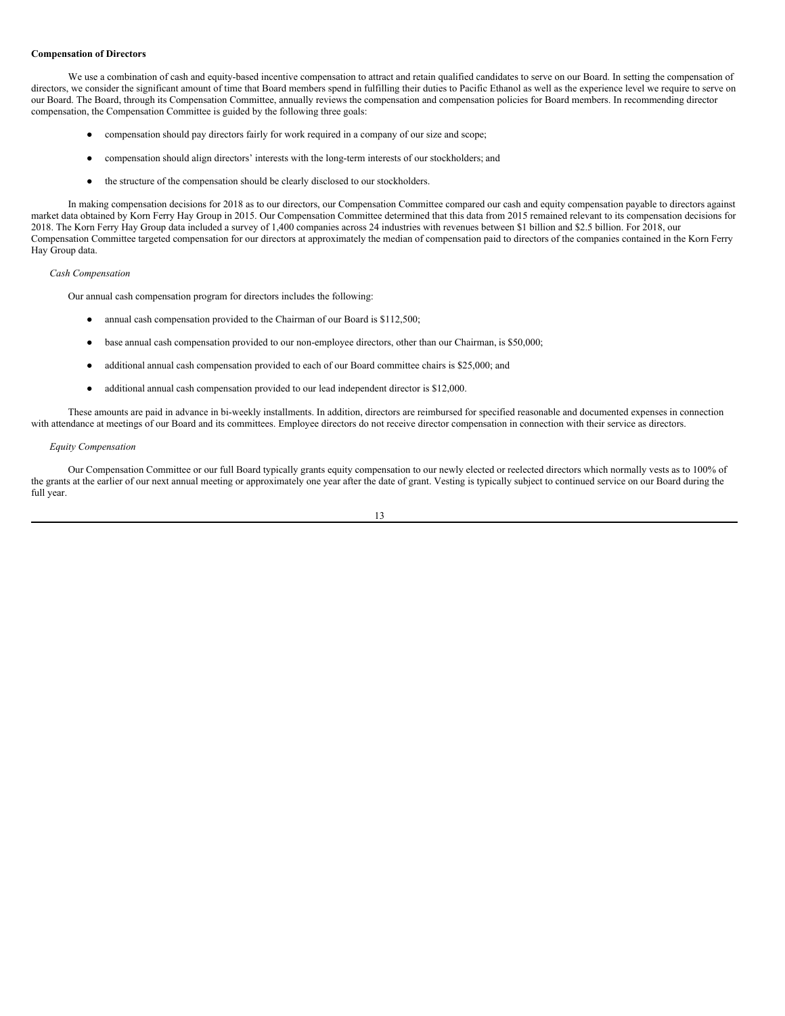### **Compensation of Directors**

We use a combination of cash and equity-based incentive compensation to attract and retain qualified candidates to serve on our Board. In setting the compensation of directors, we consider the significant amount of time that Board members spend in fulfilling their duties to Pacific Ethanol as well as the experience level we require to serve on our Board. The Board, through its Compensation Committee, annually reviews the compensation and compensation policies for Board members. In recommending director compensation, the Compensation Committee is guided by the following three goals:

- compensation should pay directors fairly for work required in a company of our size and scope;
- compensation should align directors' interests with the long-term interests of our stockholders; and
- the structure of the compensation should be clearly disclosed to our stockholders.

In making compensation decisions for 2018 as to our directors, our Compensation Committee compared our cash and equity compensation payable to directors against market data obtained by Korn Ferry Hay Group in 2015. Our Compensation Committee determined that this data from 2015 remained relevant to its compensation decisions for 2018. The Korn Ferry Hay Group data included a survey of 1,400 companies across 24 industries with revenues between \$1 billion and \$2.5 billion. For 2018, our Compensation Committee targeted compensation for our directors at approximately the median of compensation paid to directors of the companies contained in the Korn Ferry Hay Group data.

### *Cash Compensation*

Our annual cash compensation program for directors includes the following:

- annual cash compensation provided to the Chairman of our Board is \$112,500;
- base annual cash compensation provided to our non-employee directors, other than our Chairman, is \$50,000;
- additional annual cash compensation provided to each of our Board committee chairs is \$25,000; and
- additional annual cash compensation provided to our lead independent director is \$12,000.

These amounts are paid in advance in bi-weekly installments. In addition, directors are reimbursed for specified reasonable and documented expenses in connection with attendance at meetings of our Board and its committees. Employee directors do not receive director compensation in connection with their service as directors.

### *Equity Compensation*

Our Compensation Committee or our full Board typically grants equity compensation to our newly elected or reelected directors which normally vests as to 100% of the grants at the earlier of our next annual meeting or approximately one year after the date of grant. Vesting is typically subject to continued service on our Board during the full year.

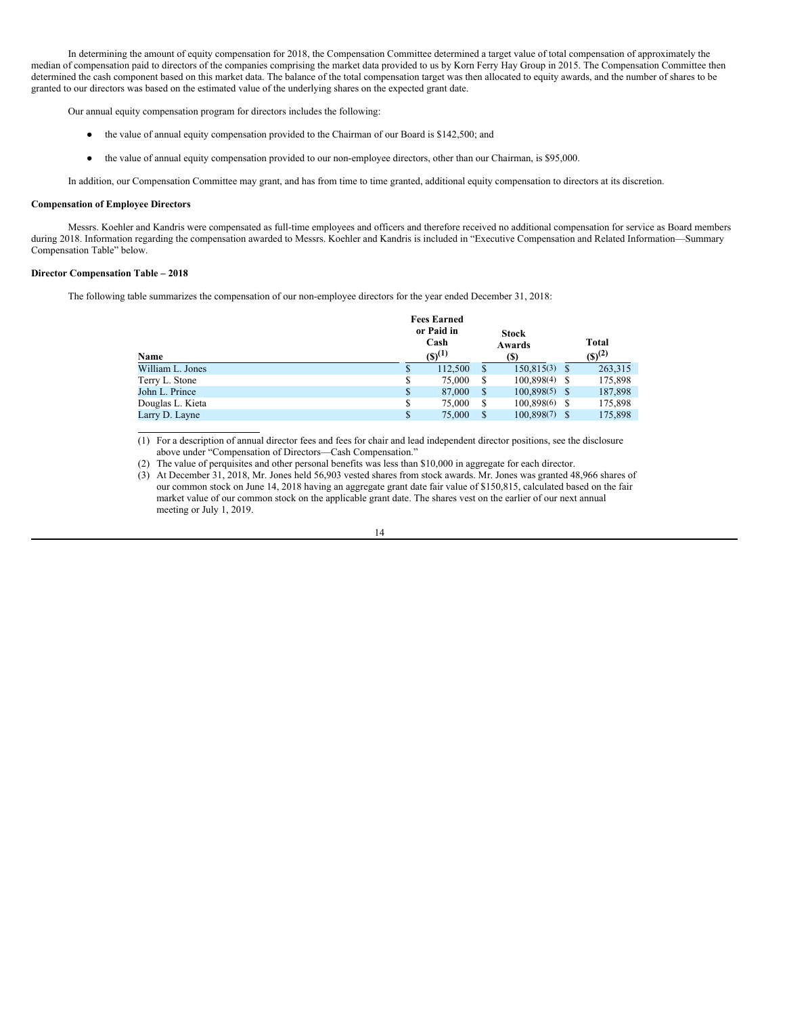In determining the amount of equity compensation for 2018, the Compensation Committee determined a target value of total compensation of approximately the median of compensation paid to directors of the companies comprising the market data provided to us by Korn Ferry Hay Group in 2015. The Compensation Committee then determined the cash component based on this market data. The balance of the total compensation target was then allocated to equity awards, and the number of shares to be granted to our directors was based on the estimated value of the underlying shares on the expected grant date.

Our annual equity compensation program for directors includes the following:

- the value of annual equity compensation provided to the Chairman of our Board is \$142,500; and
- the value of annual equity compensation provided to our non-employee directors, other than our Chairman, is \$95,000.

In addition, our Compensation Committee may grant, and has from time to time granted, additional equity compensation to directors at its discretion.

### **Compensation of Employee Directors**

Messrs. Koehler and Kandris were compensated as full-time employees and officers and therefore received no additional compensation for service as Board members during 2018. Information regarding the compensation awarded to Messrs. Koehler and Kandris is included in "Executive Compensation and Related Information—Summary Compensation Table" below.

### **Director Compensation Table – 2018**

The following table summarizes the compensation of our non-employee directors for the year ended December 31, 2018:

| Name             |   | <b>Fees Earned</b><br>or Paid in<br>Cash<br>$(S)^{(1)}$ | <b>Stock</b><br>Awards<br><b>(\$)</b> |                 |  | Total<br>$(S)^{(2)}$ |
|------------------|---|---------------------------------------------------------|---------------------------------------|-----------------|--|----------------------|
| William L. Jones |   | 112.500                                                 | \$                                    | $150,815(3)$ \$ |  | 263,315              |
| Terry L. Stone   |   | 75,000                                                  | S                                     | 100.898(4)      |  | 175,898              |
| John L. Prince   | S | 87,000                                                  | <sup>\$</sup>                         | $100.898(5)$ \$ |  | 187,898              |
| Douglas L. Kieta |   | 75,000                                                  | S                                     | $100.898(6)$ \$ |  | 175,898              |
| Larry D. Layne   |   | 75,000                                                  | \$                                    | $100,898(7)$ \$ |  | 175,898              |

(1) For a description of annual director fees and fees for chair and lead independent director positions, see the disclosure above under "Compensation of Directors—Cash Compensation."

(2) The value of perquisites and other personal benefits was less than \$10,000 in aggregate for each director.

(3) At December 31, 2018, Mr. Jones held 56,903 vested shares from stock awards. Mr. Jones was granted 48,966 shares of our common stock on June 14, 2018 having an aggregate grant date fair value of \$150,815, calculated based on the fair market value of our common stock on the applicable grant date. The shares vest on the earlier of our next annual meeting or July 1, 2019.

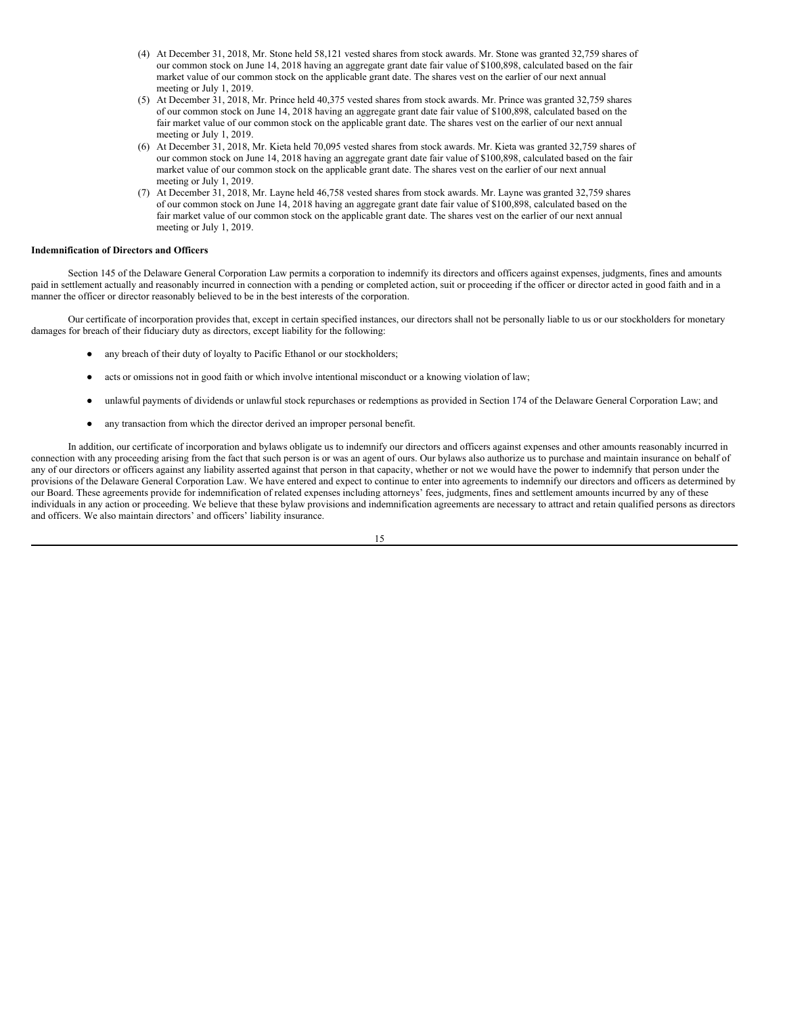- (4) At December 31, 2018, Mr. Stone held 58,121 vested shares from stock awards. Mr. Stone was granted 32,759 shares of our common stock on June 14, 2018 having an aggregate grant date fair value of \$100,898, calculated based on the fair market value of our common stock on the applicable grant date. The shares vest on the earlier of our next annual meeting or July 1, 2019.
- (5) At December 31, 2018, Mr. Prince held 40,375 vested shares from stock awards. Mr. Prince was granted 32,759 shares of our common stock on June 14, 2018 having an aggregate grant date fair value of \$100,898, calculated based on the fair market value of our common stock on the applicable grant date. The shares vest on the earlier of our next annual meeting or July 1, 2019.
- (6) At December 31, 2018, Mr. Kieta held 70,095 vested shares from stock awards. Mr. Kieta was granted 32,759 shares of our common stock on June 14, 2018 having an aggregate grant date fair value of \$100,898, calculated based on the fair market value of our common stock on the applicable grant date. The shares vest on the earlier of our next annual meeting or July 1, 2019.
- (7) At December 31, 2018, Mr. Layne held 46,758 vested shares from stock awards. Mr. Layne was granted 32,759 shares of our common stock on June 14, 2018 having an aggregate grant date fair value of \$100,898, calculated based on the fair market value of our common stock on the applicable grant date. The shares vest on the earlier of our next annual meeting or July 1, 2019.

### **Indemnification of Directors and Officers**

Section 145 of the Delaware General Corporation Law permits a corporation to indemnify its directors and officers against expenses, judgments, fines and amounts paid in settlement actually and reasonably incurred in connection with a pending or completed action, suit or proceeding if the officer or director acted in good faith and in a manner the officer or director reasonably believed to be in the best interests of the corporation.

Our certificate of incorporation provides that, except in certain specified instances, our directors shall not be personally liable to us or our stockholders for monetary damages for breach of their fiduciary duty as directors, except liability for the following:

- any breach of their duty of loyalty to Pacific Ethanol or our stockholders;
- acts or omissions not in good faith or which involve intentional misconduct or a knowing violation of law;
- unlawful payments of dividends or unlawful stock repurchases or redemptions as provided in Section 174 of the Delaware General Corporation Law; and
- any transaction from which the director derived an improper personal benefit.

In addition, our certificate of incorporation and bylaws obligate us to indemnify our directors and officers against expenses and other amounts reasonably incurred in connection with any proceeding arising from the fact that such person is or was an agent of ours. Our bylaws also authorize us to purchase and maintain insurance on behalf of any of our directors or officers against any liability asserted against that person in that capacity, whether or not we would have the power to indemnify that person under the provisions of the Delaware General Corporation Law. We have entered and expect to continue to enter into agreements to indemnify our directors and officers as determined by our Board. These agreements provide for indemnification of related expenses including attorneys' fees, judgments, fines and settlement amounts incurred by any of these individuals in any action or proceeding. We believe that these bylaw provisions and indemnification agreements are necessary to attract and retain qualified persons as directors and officers. We also maintain directors' and officers' liability insurance.

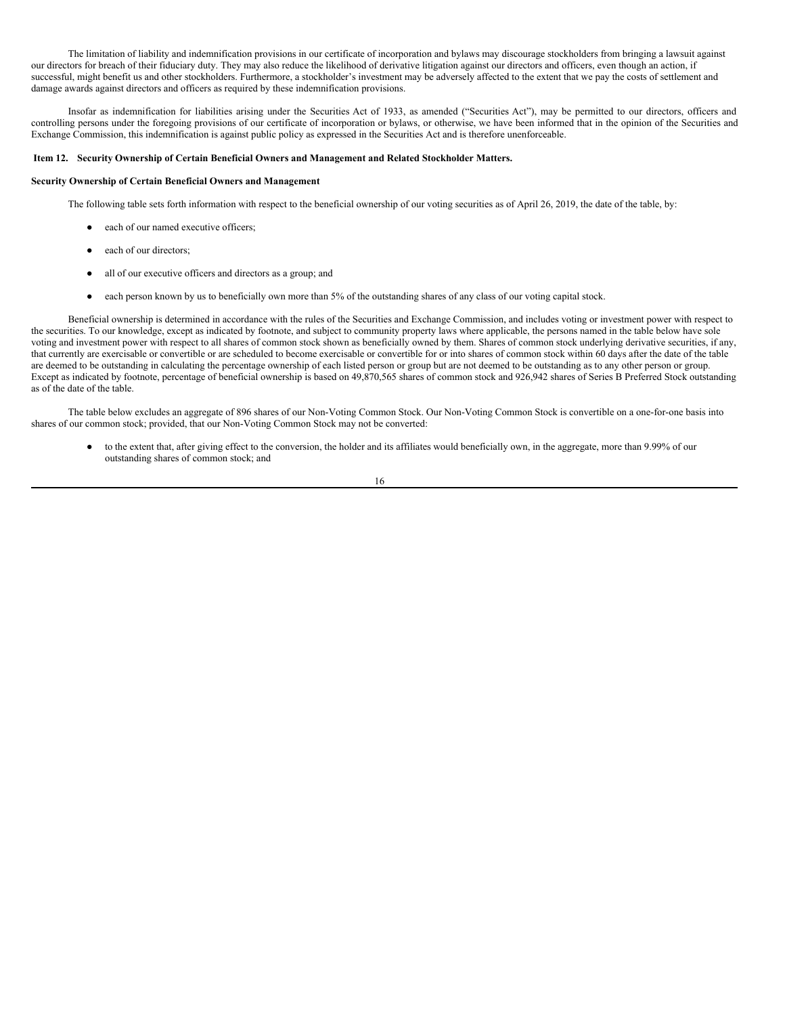The limitation of liability and indemnification provisions in our certificate of incorporation and bylaws may discourage stockholders from bringing a lawsuit against our directors for breach of their fiduciary duty. They may also reduce the likelihood of derivative litigation against our directors and officers, even though an action, if successful, might benefit us and other stockholders. Furthermore, a stockholder's investment may be adversely affected to the extent that we pay the costs of settlement and damage awards against directors and officers as required by these indemnification provisions.

Insofar as indemnification for liabilities arising under the Securities Act of 1933, as amended ("Securities Act"), may be permitted to our directors, officers and controlling persons under the foregoing provisions of our certificate of incorporation or bylaws, or otherwise, we have been informed that in the opinion of the Securities and Exchange Commission, this indemnification is against public policy as expressed in the Securities Act and is therefore unenforceable.

### <span id="page-16-0"></span>**Item 12. Security Ownership of Certain Beneficial Owners and Management and Related Stockholder Matters.**

### **Security Ownership of Certain Beneficial Owners and Management**

The following table sets forth information with respect to the beneficial ownership of our voting securities as of April 26, 2019, the date of the table, by:

- each of our named executive officers;
- each of our directors;
- all of our executive officers and directors as a group; and
- each person known by us to beneficially own more than 5% of the outstanding shares of any class of our voting capital stock.

Beneficial ownership is determined in accordance with the rules of the Securities and Exchange Commission, and includes voting or investment power with respect to the securities. To our knowledge, except as indicated by footnote, and subject to community property laws where applicable, the persons named in the table below have sole voting and investment power with respect to all shares of common stock shown as beneficially owned by them. Shares of common stock underlying derivative securities, if any, that currently are exercisable or convertible or are scheduled to become exercisable or convertible for or into shares of common stock within 60 days after the date of the table are deemed to be outstanding in calculating the percentage ownership of each listed person or group but are not deemed to be outstanding as to any other person or group. Except as indicated by footnote, percentage of beneficial ownership is based on 49,870,565 shares of common stock and 926,942 shares of Series B Preferred Stock outstanding as of the date of the table.

The table below excludes an aggregate of 896 shares of our Non-Voting Common Stock. Our Non-Voting Common Stock is convertible on a one-for-one basis into shares of our common stock; provided, that our Non-Voting Common Stock may not be converted:

● to the extent that, after giving effect to the conversion, the holder and its affiliates would beneficially own, in the aggregate, more than 9.99% of our outstanding shares of common stock; and

16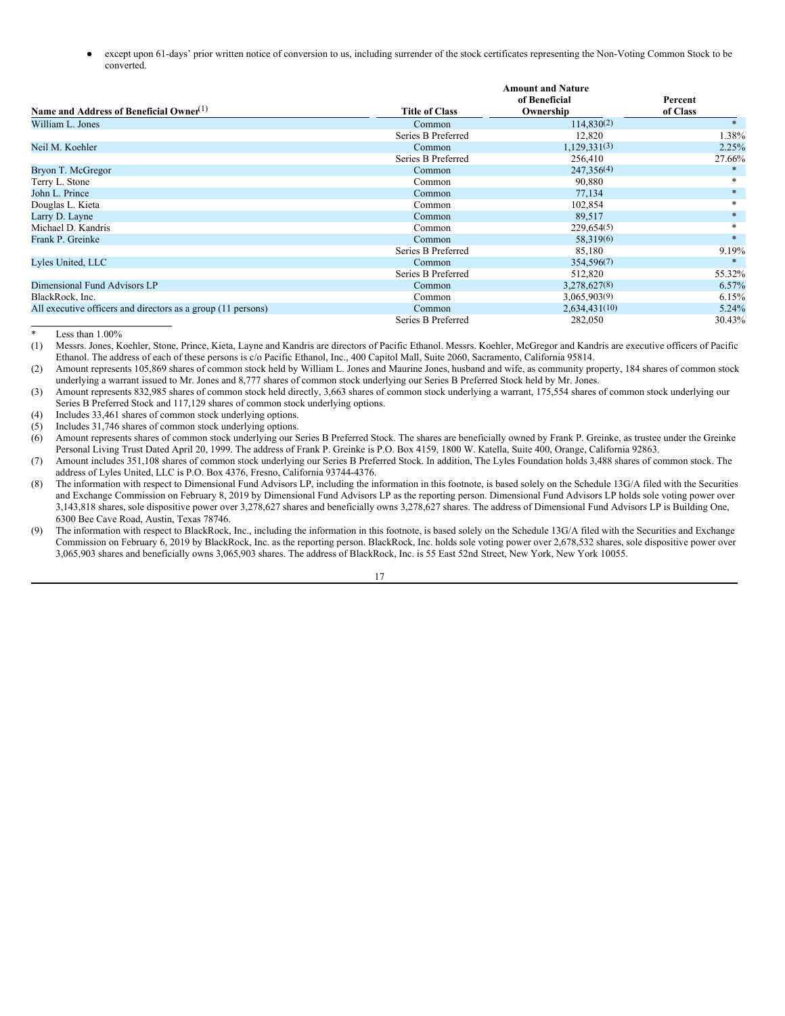except upon 61-days' prior written notice of conversion to us, including surrender of the stock certificates representing the Non-Voting Common Stock to be converted.

|                                                              | <b>Amount and Nature</b> |               |          |  |  |  |
|--------------------------------------------------------------|--------------------------|---------------|----------|--|--|--|
|                                                              |                          | of Beneficial | Percent  |  |  |  |
| Name and Address of Beneficial Owner <sup>(1)</sup>          | <b>Title of Class</b>    | Ownership     | of Class |  |  |  |
| William L. Jones                                             | Common                   | 114,830(2)    |          |  |  |  |
|                                                              | Series B Preferred       | 12,820        | 1.38%    |  |  |  |
| Neil M. Koehler                                              | Common                   | 1,129,331(3)  | 2.25%    |  |  |  |
|                                                              | Series B Preferred       | 256,410       | 27.66%   |  |  |  |
| Bryon T. McGregor                                            | Common                   | 247,356(4)    |          |  |  |  |
| Terry L. Stone                                               | Common                   | 90,880        |          |  |  |  |
| John L. Prince                                               | Common                   | 77,134        |          |  |  |  |
| Douglas L. Kieta                                             | Common                   | 102,854       |          |  |  |  |
| Larry D. Layne                                               | Common                   | 89,517        | $*$      |  |  |  |
| Michael D. Kandris                                           | Common                   | 229,654(5)    |          |  |  |  |
| Frank P. Greinke                                             | Common                   | 58,319(6)     |          |  |  |  |
|                                                              | Series B Preferred       | 85,180        | 9.19%    |  |  |  |
| Lyles United, LLC                                            | Common                   | 354,596(7)    |          |  |  |  |
|                                                              | Series B Preferred       | 512,820       | 55.32%   |  |  |  |
| Dimensional Fund Advisors LP                                 | Common                   | 3,278,627(8)  | 6.57%    |  |  |  |
| BlackRock, Inc.                                              | Common                   | 3,065,903(9)  | 6.15%    |  |  |  |
| All executive officers and directors as a group (11 persons) | Common                   | 2,634,431(10) | 5.24%    |  |  |  |
|                                                              | Series B Preferred       | 282,050       | 30.43%   |  |  |  |

Less than  $1.00\%$ 

(1) Messrs. Jones, Koehler, Stone, Prince, Kieta, Layne and Kandris are directors of Pacific Ethanol. Messrs. Koehler, McGregor and Kandris are executive officers of Pacific Ethanol. The address of each of these persons is c/o Pacific Ethanol, Inc., 400 Capitol Mall, Suite 2060, Sacramento, California 95814.

(2) Amount represents 105,869 shares of common stock held by William L. Jones and Maurine Jones, husband and wife, as community property, 184 shares of common stock underlying a warrant issued to Mr. Jones and 8,777 shares of common stock underlying our Series B Preferred Stock held by Mr. Jones.

- (4) Includes 33,461 shares of common stock underlying options.
- (5) Includes 31,746 shares of common stock underlying options.
- (6) Amount represents shares of common stock underlying our Series B Preferred Stock. The shares are beneficially owned by Frank P. Greinke, as trustee under the Greinke Personal Living Trust Dated April 20, 1999. The address of Frank P. Greinke is P.O. Box 4159, 1800 W. Katella, Suite 400, Orange, California 92863.
- (7) Amount includes 351,108 shares of common stock underlying our Series B Preferred Stock. In addition, The Lyles Foundation holds 3,488 shares of common stock. The address of Lyles United, LLC is P.O. Box 4376, Fresno, California 93744-4376.
- (8) The information with respect to Dimensional Fund Advisors LP, including the information in this footnote, is based solely on the Schedule 13G/A filed with the Securities and Exchange Commission on February 8, 2019 by Dimensional Fund Advisors LP as the reporting person. Dimensional Fund Advisors LP holds sole voting power over 3,143,818 shares, sole dispositive power over 3,278,627 shares and beneficially owns 3,278,627 shares. The address of Dimensional Fund Advisors LP is Building One, 6300 Bee Cave Road, Austin, Texas 78746.
- (9) The information with respect to BlackRock, Inc., including the information in this footnote, is based solely on the Schedule 13G/A filed with the Securities and Exchange Commission on February 6, 2019 by BlackRock, Inc. as the reporting person. BlackRock, Inc. holds sole voting power over 2,678,532 shares, sole dispositive power over 3,065,903 shares and beneficially owns 3,065,903 shares. The address of BlackRock, Inc. is 55 East 52nd Street, New York, New York 10055.

<sup>(3)</sup> Amount represents 832,985 shares of common stock held directly, 3,663 shares of common stock underlying a warrant, 175,554 shares of common stock underlying our Series B Preferred Stock and 117,129 shares of common stock underlying options.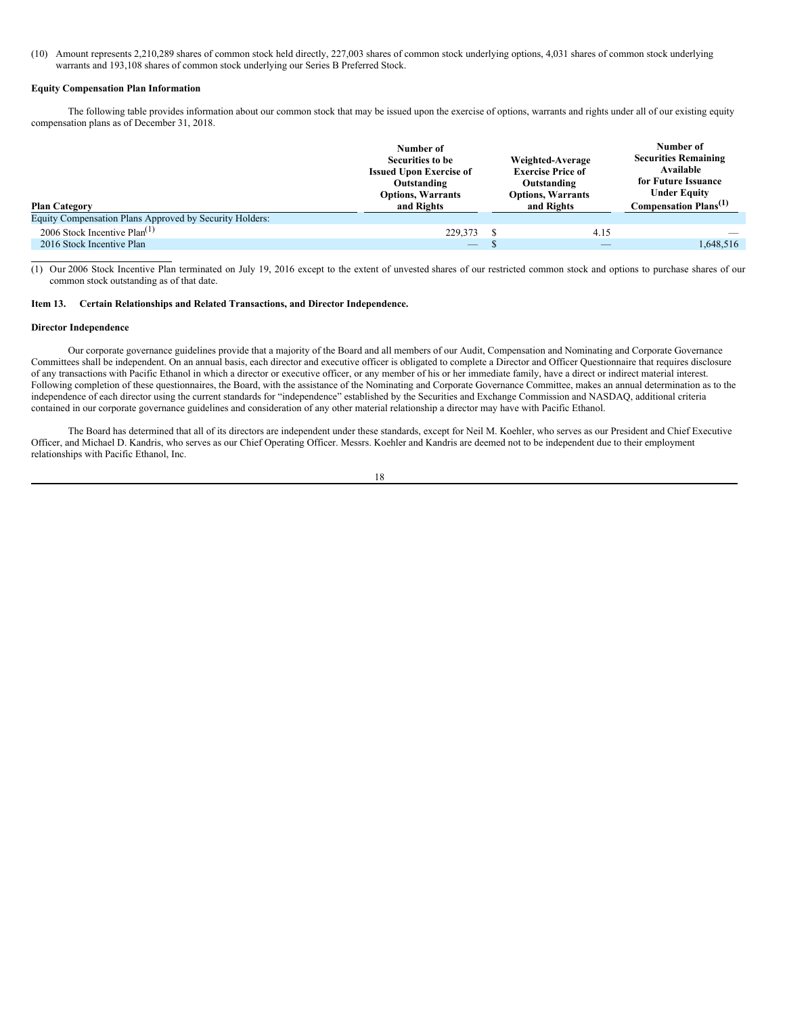(10) Amount represents 2,210,289 shares of common stock held directly, 227,003 shares of common stock underlying options, 4,031 shares of common stock underlying warrants and 193,108 shares of common stock underlying our Series B Preferred Stock.

### **Equity Compensation Plan Information**

The following table provides information about our common stock that may be issued upon the exercise of options, warrants and rights under all of our existing equity compensation plans as of December 31, 2018.

| <b>Plan Category</b><br>Equity Compensation Plans Approved by Security Holders: | Number of<br>Securities to be<br><b>Issued Upon Exercise of</b><br>Outstanding<br><b>Options, Warrants</b><br>and Rights | Weighted-Average<br><b>Exercise Price of</b><br>Outstanding<br><b>Options, Warrants</b><br>and Rights | Number of<br><b>Securities Remaining</b><br>Available<br>for Future Issuance<br><b>Under Equity</b><br><b>Compensation Plans</b> <sup>(1)</sup> |
|---------------------------------------------------------------------------------|--------------------------------------------------------------------------------------------------------------------------|-------------------------------------------------------------------------------------------------------|-------------------------------------------------------------------------------------------------------------------------------------------------|
| 2006 Stock Incentive Plan <sup>(1)</sup>                                        | 229.373                                                                                                                  | 4.15                                                                                                  |                                                                                                                                                 |
| 2016 Stock Incentive Plan                                                       |                                                                                                                          |                                                                                                       | 1,648,516                                                                                                                                       |

(1) Our 2006 Stock Incentive Plan terminated on July 19, 2016 except to the extent of unvested shares of our restricted common stock and options to purchase shares of our common stock outstanding as of that date.

### <span id="page-18-0"></span>**Item 13. Certain Relationships and Related Transactions, and Director Independence.**

#### **Director Independence**

Our corporate governance guidelines provide that a majority of the Board and all members of our Audit, Compensation and Nominating and Corporate Governance Committees shall be independent. On an annual basis, each director and executive officer is obligated to complete a Director and Officer Questionnaire that requires disclosure of any transactions with Pacific Ethanol in which a director or executive officer, or any member of his or her immediate family, have a direct or indirect material interest. Following completion of these questionnaires, the Board, with the assistance of the Nominating and Corporate Governance Committee, makes an annual determination as to the independence of each director using the current standards for "independence" established by the Securities and Exchange Commission and NASDAQ, additional criteria contained in our corporate governance guidelines and consideration of any other material relationship a director may have with Pacific Ethanol.

The Board has determined that all of its directors are independent under these standards, except for Neil M. Koehler, who serves as our President and Chief Executive Officer, and Michael D. Kandris, who serves as our Chief Operating Officer. Messrs. Koehler and Kandris are deemed not to be independent due to their employment relationships with Pacific Ethanol, Inc.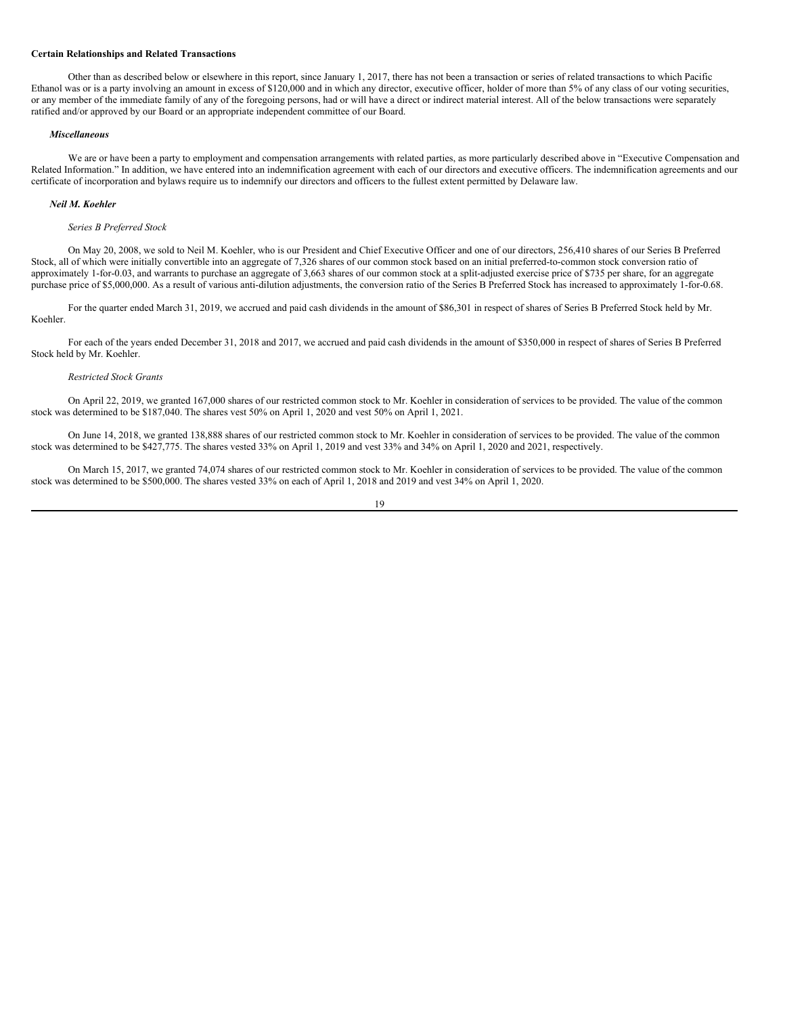### **Certain Relationships and Related Transactions**

Other than as described below or elsewhere in this report, since January 1, 2017, there has not been a transaction or series of related transactions to which Pacific Ethanol was or is a party involving an amount in excess of \$120,000 and in which any director, executive officer, holder of more than 5% of any class of our voting securities, or any member of the immediate family of any of the foregoing persons, had or will have a direct or indirect material interest. All of the below transactions were separately ratified and/or approved by our Board or an appropriate independent committee of our Board.

#### *Miscellaneous*

We are or have been a party to employment and compensation arrangements with related parties, as more particularly described above in "Executive Compensation and Related Information." In addition, we have entered into an indemnification agreement with each of our directors and executive officers. The indemnification agreements and our certificate of incorporation and bylaws require us to indemnify our directors and officers to the fullest extent permitted by Delaware law.

#### *Neil M. Koehler*

### *Series B Preferred Stock*

On May 20, 2008, we sold to Neil M. Koehler, who is our President and Chief Executive Officer and one of our directors, 256,410 shares of our Series B Preferred Stock, all of which were initially convertible into an aggregate of 7,326 shares of our common stock based on an initial preferred-to-common stock conversion ratio of approximately 1-for-0.03, and warrants to purchase an aggregate of 3,663 shares of our common stock at a split-adjusted exercise price of \$735 per share, for an aggregate purchase price of \$5,000,000. As a result of various anti-dilution adjustments, the conversion ratio of the Series B Preferred Stock has increased to approximately 1-for-0.68.

For the quarter ended March 31, 2019, we accrued and paid cash dividends in the amount of \$86,301 in respect of shares of Series B Preferred Stock held by Mr. Koehler.

For each of the years ended December 31, 2018 and 2017, we accrued and paid cash dividends in the amount of \$350,000 in respect of shares of Series B Preferred Stock held by Mr. Koehler.

#### *Restricted Stock Grants*

On April 22, 2019, we granted 167,000 shares of our restricted common stock to Mr. Koehler in consideration of services to be provided. The value of the common stock was determined to be \$187,040. The shares vest 50% on April 1, 2020 and vest 50% on April 1, 2021.

On June 14, 2018, we granted 138,888 shares of our restricted common stock to Mr. Koehler in consideration of services to be provided. The value of the common stock was determined to be \$427,775. The shares vested 33% on April 1, 2019 and vest 33% and 34% on April 1, 2020 and 2021, respectively.

On March 15, 2017, we granted 74,074 shares of our restricted common stock to Mr. Koehler in consideration of services to be provided. The value of the common stock was determined to be \$500,000. The shares vested 33% on each of April 1, 2018 and 2019 and vest 34% on April 1, 2020.

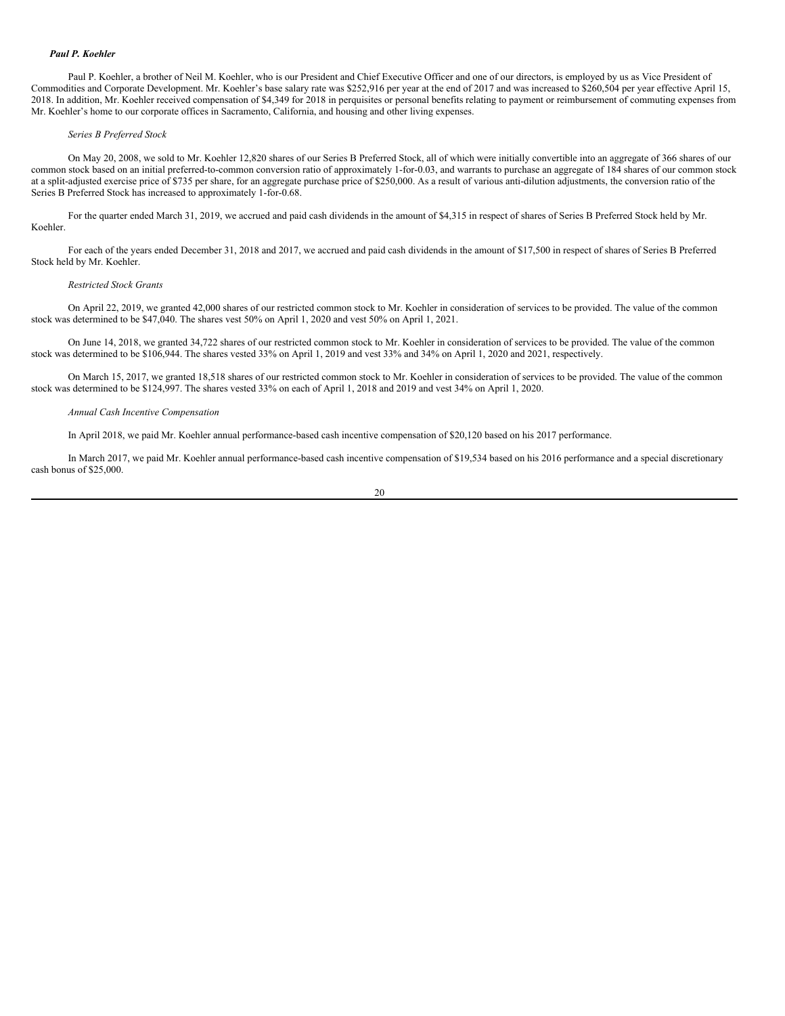### *Paul P. Koehler*

Paul P. Koehler, a brother of Neil M. Koehler, who is our President and Chief Executive Officer and one of our directors, is employed by us as Vice President of Commodities and Corporate Development. Mr. Koehler's base salary rate was \$252,916 per year at the end of 2017 and was increased to \$260,504 per year effective April 15, 2018. In addition, Mr. Koehler received compensation of \$4,349 for 2018 in perquisites or personal benefits relating to payment or reimbursement of commuting expenses from Mr. Koehler's home to our corporate offices in Sacramento, California, and housing and other living expenses.

#### *Series B Preferred Stock*

On May 20, 2008, we sold to Mr. Koehler 12,820 shares of our Series B Preferred Stock, all of which were initially convertible into an aggregate of 366 shares of our common stock based on an initial preferred-to-common conversion ratio of approximately 1-for-0.03, and warrants to purchase an aggregate of 184 shares of our common stock at a split-adjusted exercise price of \$735 per share, for an aggregate purchase price of \$250,000. As a result of various anti-dilution adjustments, the conversion ratio of the Series B Preferred Stock has increased to approximately 1-for-0.68.

For the quarter ended March 31, 2019, we accrued and paid cash dividends in the amount of \$4,315 in respect of shares of Series B Preferred Stock held by Mr. Koehler.

For each of the years ended December 31, 2018 and 2017, we accrued and paid cash dividends in the amount of \$17,500 in respect of shares of Series B Preferred Stock held by Mr. Koehler.

#### *Restricted Stock Grants*

On April 22, 2019, we granted 42,000 shares of our restricted common stock to Mr. Koehler in consideration of services to be provided. The value of the common stock was determined to be \$47,040. The shares vest 50% on April 1, 2020 and vest 50% on April 1, 2021.

On June 14, 2018, we granted 34,722 shares of our restricted common stock to Mr. Koehler in consideration of services to be provided. The value of the common stock was determined to be \$106,944. The shares vested 33% on April 1, 2019 and vest 33% and 34% on April 1, 2020 and 2021, respectively.

On March 15, 2017, we granted 18,518 shares of our restricted common stock to Mr. Koehler in consideration of services to be provided. The value of the common stock was determined to be \$124,997. The shares vested 33% on each of April 1, 2018 and 2019 and vest 34% on April 1, 2020.

#### *Annual Cash Incentive Compensation*

In April 2018, we paid Mr. Koehler annual performance-based cash incentive compensation of \$20,120 based on his 2017 performance.

In March 2017, we paid Mr. Koehler annual performance-based cash incentive compensation of \$19,534 based on his 2016 performance and a special discretionary cash bonus of \$25,000.

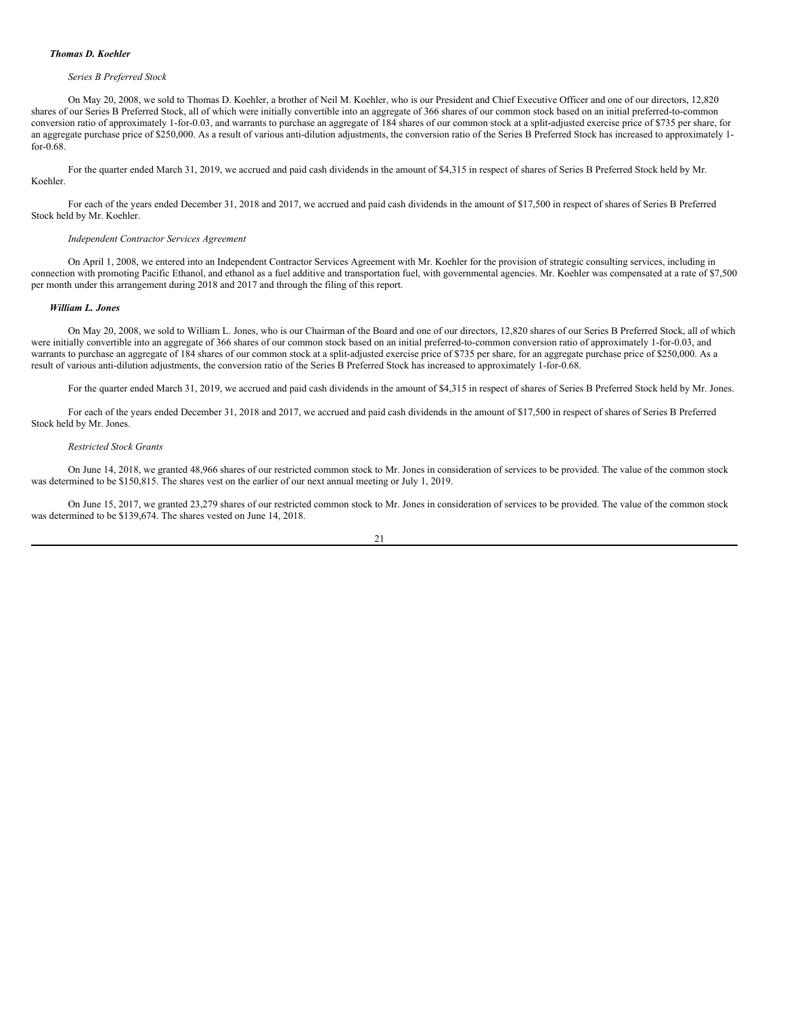### *Thomas D. Koehler*

#### *Series B Preferred Stock*

On May 20, 2008, we sold to Thomas D. Koehler, a brother of Neil M. Koehler, who is our President and Chief Executive Officer and one of our directors, 12,820 shares of our Series B Preferred Stock, all of which were initially convertible into an aggregate of 366 shares of our common stock based on an initial preferred-to-common conversion ratio of approximately 1-for-0.03, and warrants to purchase an aggregate of 184 shares of our common stock at a split-adjusted exercise price of \$735 per share, for an aggregate purchase price of \$250,000. As a result of various anti-dilution adjustments, the conversion ratio of the Series B Preferred Stock has increased to approximately 1 for-0.68.

For the quarter ended March 31, 2019, we accrued and paid cash dividends in the amount of \$4,315 in respect of shares of Series B Preferred Stock held by Mr. Koehler.

For each of the years ended December 31, 2018 and 2017, we accrued and paid cash dividends in the amount of \$17,500 in respect of shares of Series B Preferred Stock held by Mr. Koehler.

### *Independent Contractor Services Agreement*

On April 1, 2008, we entered into an Independent Contractor Services Agreement with Mr. Koehler for the provision of strategic consulting services, including in connection with promoting Pacific Ethanol, and ethanol as a fuel additive and transportation fuel, with governmental agencies. Mr. Koehler was compensated at a rate of \$7,500 per month under this arrangement during 2018 and 2017 and through the filing of this report.

#### *William L. Jones*

On May 20, 2008, we sold to William L. Jones, who is our Chairman of the Board and one of our directors, 12,820 shares of our Series B Preferred Stock, all of which were initially convertible into an aggregate of 366 shares of our common stock based on an initial preferred-to-common conversion ratio of approximately 1-for-0.03, and warrants to purchase an aggregate of 184 shares of our common stock at a split-adjusted exercise price of \$735 per share, for an aggregate purchase price of \$250,000. As a result of various anti-dilution adjustments, the conversion ratio of the Series B Preferred Stock has increased to approximately 1-for-0.68.

For the quarter ended March 31, 2019, we accrued and paid cash dividends in the amount of \$4,315 in respect of shares of Series B Preferred Stock held by Mr. Jones.

For each of the years ended December 31, 2018 and 2017, we accrued and paid cash dividends in the amount of \$17,500 in respect of shares of Series B Preferred Stock held by Mr. Jones.

## *Restricted Stock Grants*

On June 14, 2018, we granted 48,966 shares of our restricted common stock to Mr. Jones in consideration of services to be provided. The value of the common stock was determined to be \$150,815. The shares vest on the earlier of our next annual meeting or July 1, 2019.

On June 15, 2017, we granted 23,279 shares of our restricted common stock to Mr. Jones in consideration of services to be provided. The value of the common stock was determined to be \$139,674. The shares vested on June 14, 2018.

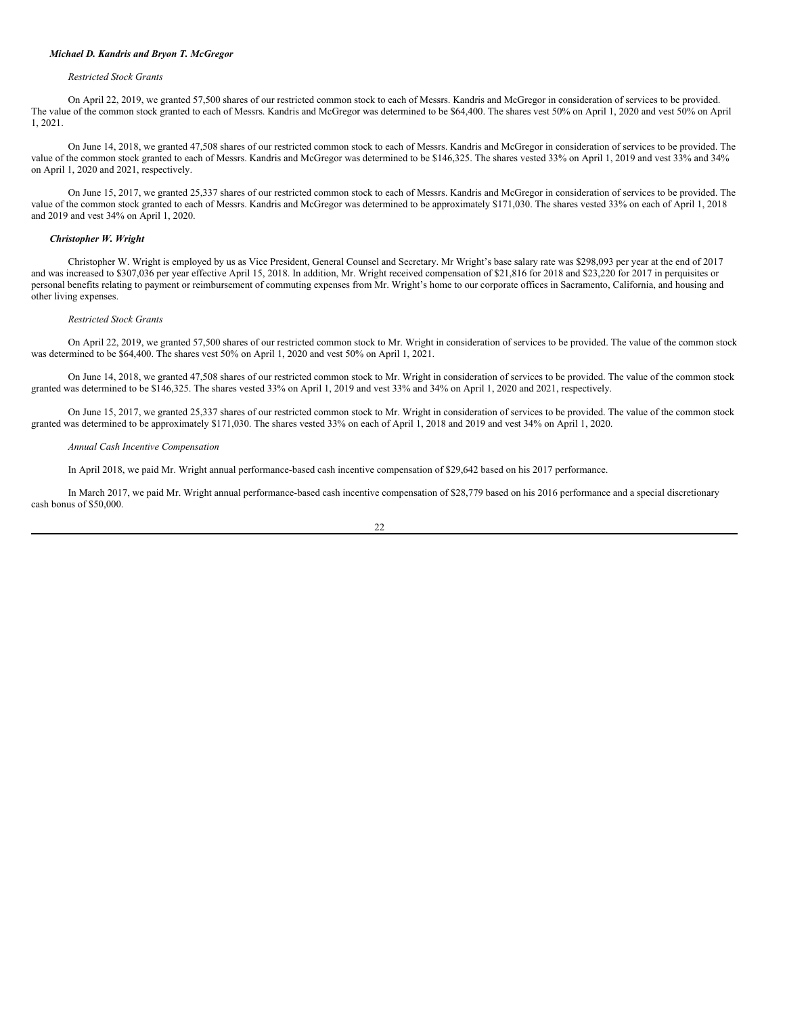## *Michael D. Kandris and Bryon T. McGregor*

### *Restricted Stock Grants*

On April 22, 2019, we granted 57,500 shares of our restricted common stock to each of Messrs. Kandris and McGregor in consideration of services to be provided. The value of the common stock granted to each of Messrs. Kandris and McGregor was determined to be \$64,400. The shares vest 50% on April 1, 2020 and vest 50% on April 1, 2021.

On June 14, 2018, we granted 47,508 shares of our restricted common stock to each of Messrs. Kandris and McGregor in consideration of services to be provided. The value of the common stock granted to each of Messrs. Kandris and McGregor was determined to be \$146,325. The shares vested 33% on April 1, 2019 and vest 33% and 34% on April 1, 2020 and 2021, respectively.

On June 15, 2017, we granted 25,337 shares of our restricted common stock to each of Messrs. Kandris and McGregor in consideration of services to be provided. The value of the common stock granted to each of Messrs. Kandris and McGregor was determined to be approximately \$171,030. The shares vested 33% on each of April 1, 2018 and 2019 and vest 34% on April 1, 2020.

# *Christopher W. Wright*

Christopher W. Wright is employed by us as Vice President, General Counsel and Secretary. Mr Wright's base salary rate was \$298,093 per year at the end of 2017 and was increased to \$307,036 per year effective April 15, 2018. In addition, Mr. Wright received compensation of \$21,816 for 2018 and \$23,220 for 2017 in perquisites or personal benefits relating to payment or reimbursement of commuting expenses from Mr. Wright's home to our corporate offices in Sacramento, California, and housing and other living expenses.

#### *Restricted Stock Grants*

On April 22, 2019, we granted 57,500 shares of our restricted common stock to Mr. Wright in consideration of services to be provided. The value of the common stock was determined to be \$64,400. The shares vest 50% on April 1, 2020 and vest 50% on April 1, 2021.

On June 14, 2018, we granted 47,508 shares of our restricted common stock to Mr. Wright in consideration of services to be provided. The value of the common stock granted was determined to be \$146,325. The shares vested 33% on April 1, 2019 and vest 33% and 34% on April 1, 2020 and 2021, respectively.

On June 15, 2017, we granted 25,337 shares of our restricted common stock to Mr. Wright in consideration of services to be provided. The value of the common stock granted was determined to be approximately \$171,030. The shares vested 33% on each of April 1, 2018 and 2019 and vest 34% on April 1, 2020.

#### *Annual Cash Incentive Compensation*

In April 2018, we paid Mr. Wright annual performance-based cash incentive compensation of \$29,642 based on his 2017 performance.

In March 2017, we paid Mr. Wright annual performance-based cash incentive compensation of \$28,779 based on his 2016 performance and a special discretionary cash bonus of \$50,000.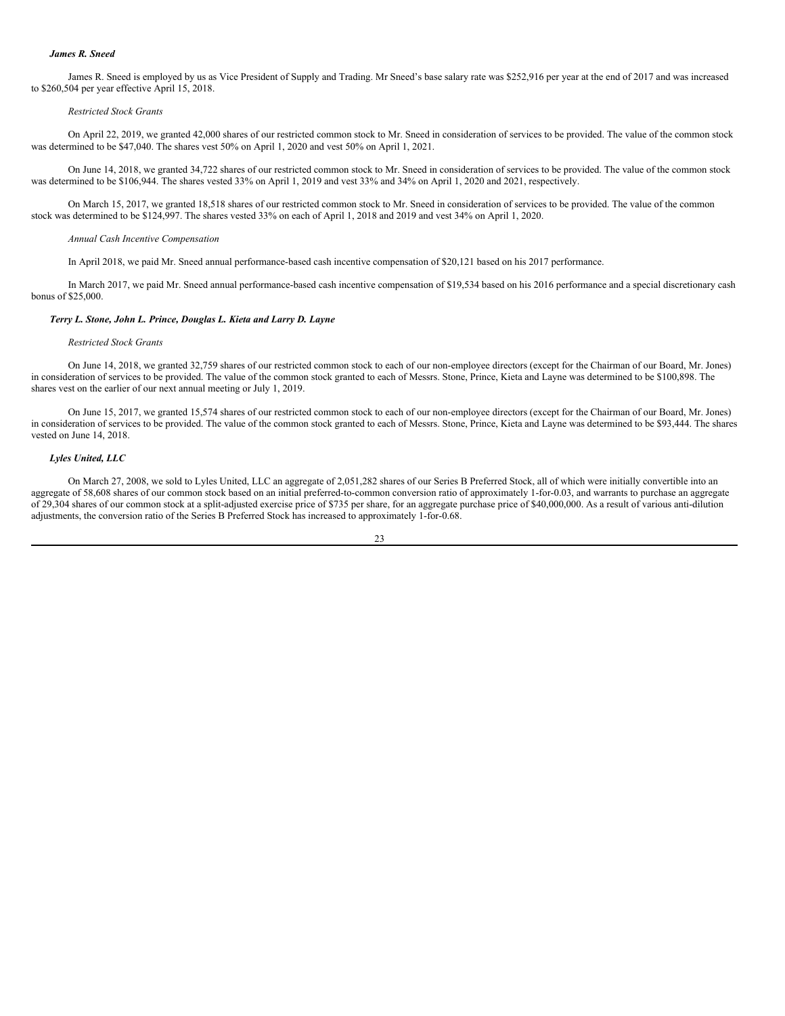### *James R. Sneed*

James R. Sneed is employed by us as Vice President of Supply and Trading. Mr Sneed's base salary rate was \$252,916 per year at the end of 2017 and was increased to \$260,504 per year effective April 15, 2018.

### *Restricted Stock Grants*

On April 22, 2019, we granted 42,000 shares of our restricted common stock to Mr. Sneed in consideration of services to be provided. The value of the common stock was determined to be \$47,040. The shares vest 50% on April 1, 2020 and vest 50% on April 1, 2021.

On June 14, 2018, we granted 34,722 shares of our restricted common stock to Mr. Sneed in consideration of services to be provided. The value of the common stock was determined to be \$106,944. The shares vested 33% on April 1, 2019 and vest 33% and 34% on April 1, 2020 and 2021, respectively.

On March 15, 2017, we granted 18,518 shares of our restricted common stock to Mr. Sneed in consideration of services to be provided. The value of the common stock was determined to be \$124,997. The shares vested 33% on each of April 1, 2018 and 2019 and vest 34% on April 1, 2020.

### *Annual Cash Incentive Compensation*

In April 2018, we paid Mr. Sneed annual performance-based cash incentive compensation of \$20,121 based on his 2017 performance.

In March 2017, we paid Mr. Sneed annual performance-based cash incentive compensation of \$19,534 based on his 2016 performance and a special discretionary cash bonus of \$25,000.

#### *Terry L. Stone, John L. Prince, Douglas L. Kieta and Larry D. Layne*

#### *Restricted Stock Grants*

On June 14, 2018, we granted 32,759 shares of our restricted common stock to each of our non-employee directors (except for the Chairman of our Board, Mr. Jones) in consideration of services to be provided. The value of the common stock granted to each of Messrs. Stone, Prince, Kieta and Layne was determined to be \$100,898. The shares vest on the earlier of our next annual meeting or July 1, 2019.

On June 15, 2017, we granted 15,574 shares of our restricted common stock to each of our non-employee directors (except for the Chairman of our Board, Mr. Jones) in consideration of services to be provided. The value of the common stock granted to each of Messrs. Stone, Prince, Kieta and Layne was determined to be \$93,444. The shares vested on June 14, 2018.

### *Lyles United, LLC*

On March 27, 2008, we sold to Lyles United, LLC an aggregate of 2,051,282 shares of our Series B Preferred Stock, all of which were initially convertible into an aggregate of 58,608 shares of our common stock based on an initial preferred-to-common conversion ratio of approximately 1-for-0.03, and warrants to purchase an aggregate of 29,304 shares of our common stock at a split-adjusted exercise price of \$735 per share, for an aggregate purchase price of \$40,000,000. As a result of various anti-dilution adjustments, the conversion ratio of the Series B Preferred Stock has increased to approximately 1-for-0.68.

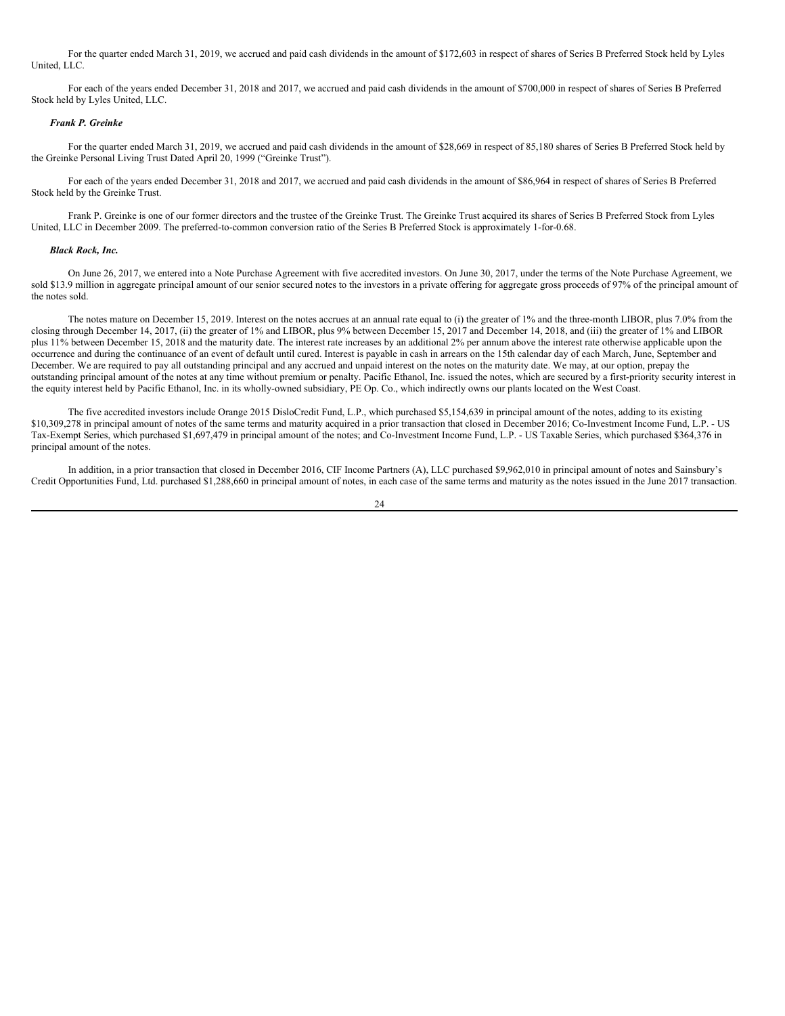For the quarter ended March 31, 2019, we accrued and paid cash dividends in the amount of \$172,603 in respect of shares of Series B Preferred Stock held by Lyles United, LLC.

For each of the years ended December 31, 2018 and 2017, we accrued and paid cash dividends in the amount of \$700,000 in respect of shares of Series B Preferred Stock held by Lyles United, LLC.

#### *Frank P. Greinke*

For the quarter ended March 31, 2019, we accrued and paid cash dividends in the amount of \$28,669 in respect of 85,180 shares of Series B Preferred Stock held by the Greinke Personal Living Trust Dated April 20, 1999 ("Greinke Trust").

For each of the years ended December 31, 2018 and 2017, we accrued and paid cash dividends in the amount of \$86,964 in respect of shares of Series B Preferred Stock held by the Greinke Trust.

Frank P. Greinke is one of our former directors and the trustee of the Greinke Trust. The Greinke Trust acquired its shares of Series B Preferred Stock from Lyles United, LLC in December 2009. The preferred-to-common conversion ratio of the Series B Preferred Stock is approximately 1-for-0.68.

### *Black Rock, Inc.*

On June 26, 2017, we entered into a Note Purchase Agreement with five accredited investors. On June 30, 2017, under the terms of the Note Purchase Agreement, we sold \$13.9 million in aggregate principal amount of our senior secured notes to the investors in a private offering for aggregate gross proceeds of 97% of the principal amount of the notes sold.

The notes mature on December 15, 2019. Interest on the notes accrues at an annual rate equal to (i) the greater of 1% and the three-month LIBOR, plus 7.0% from the closing through December 14, 2017, (ii) the greater of 1% and LIBOR, plus 9% between December 15, 2017 and December 14, 2018, and (iii) the greater of 1% and LIBOR plus 11% between December 15, 2018 and the maturity date. The interest rate increases by an additional 2% per annum above the interest rate otherwise applicable upon the occurrence and during the continuance of an event of default until cured. Interest is payable in cash in arrears on the 15th calendar day of each March, June, September and December. We are required to pay all outstanding principal and any accrued and unpaid interest on the notes on the maturity date. We may, at our option, prepay the outstanding principal amount of the notes at any time without premium or penalty. Pacific Ethanol, Inc. issued the notes, which are secured by a first-priority security interest in the equity interest held by Pacific Ethanol, Inc. in its wholly-owned subsidiary, PE Op. Co., which indirectly owns our plants located on the West Coast.

The five accredited investors include Orange 2015 DisloCredit Fund, L.P., which purchased \$5,154,639 in principal amount of the notes, adding to its existing \$10,309,278 in principal amount of notes of the same terms and maturity acquired in a prior transaction that closed in December 2016; Co-Investment Income Fund, L.P. - US Tax-Exempt Series, which purchased \$1,697,479 in principal amount of the notes; and Co-Investment Income Fund, L.P. - US Taxable Series, which purchased \$364,376 in principal amount of the notes.

In addition, in a prior transaction that closed in December 2016, CIF Income Partners (A), LLC purchased \$9,962,010 in principal amount of notes and Sainsbury's Credit Opportunities Fund, Ltd. purchased \$1,288,660 in principal amount of notes, in each case of the same terms and maturity as the notes issued in the June 2017 transaction.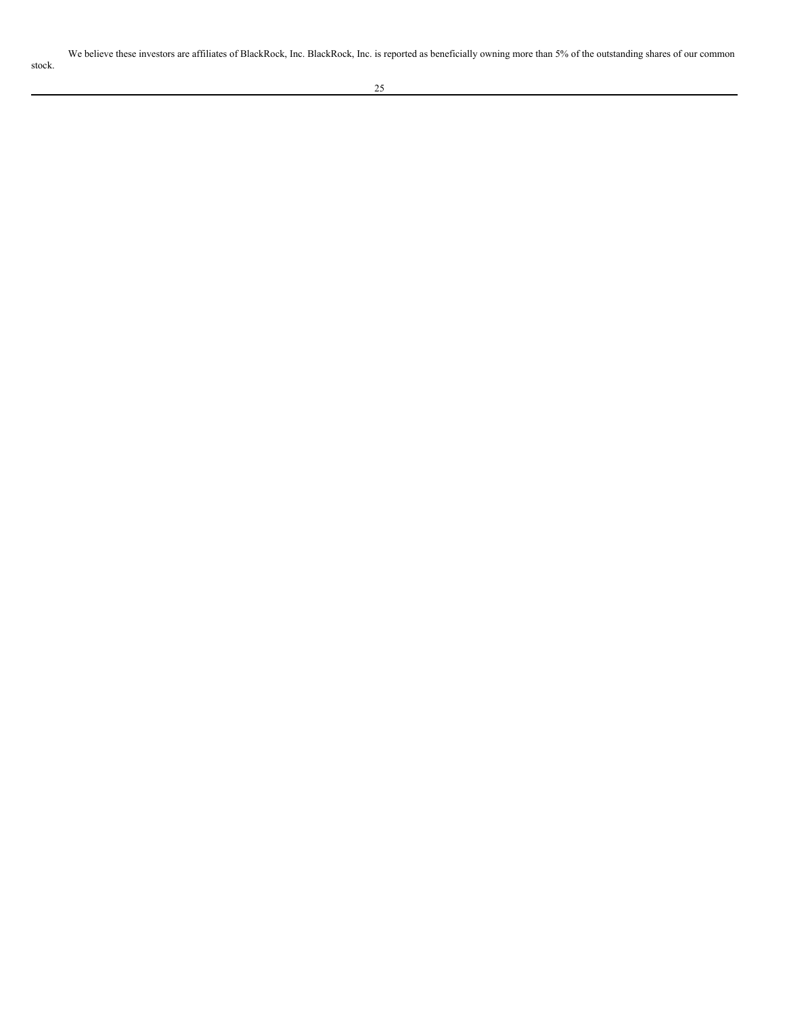We believe these investors are affiliates of BlackRock, Inc. BlackRock, Inc. is reported as beneficially owning more than 5% of the outstanding shares of our common stock.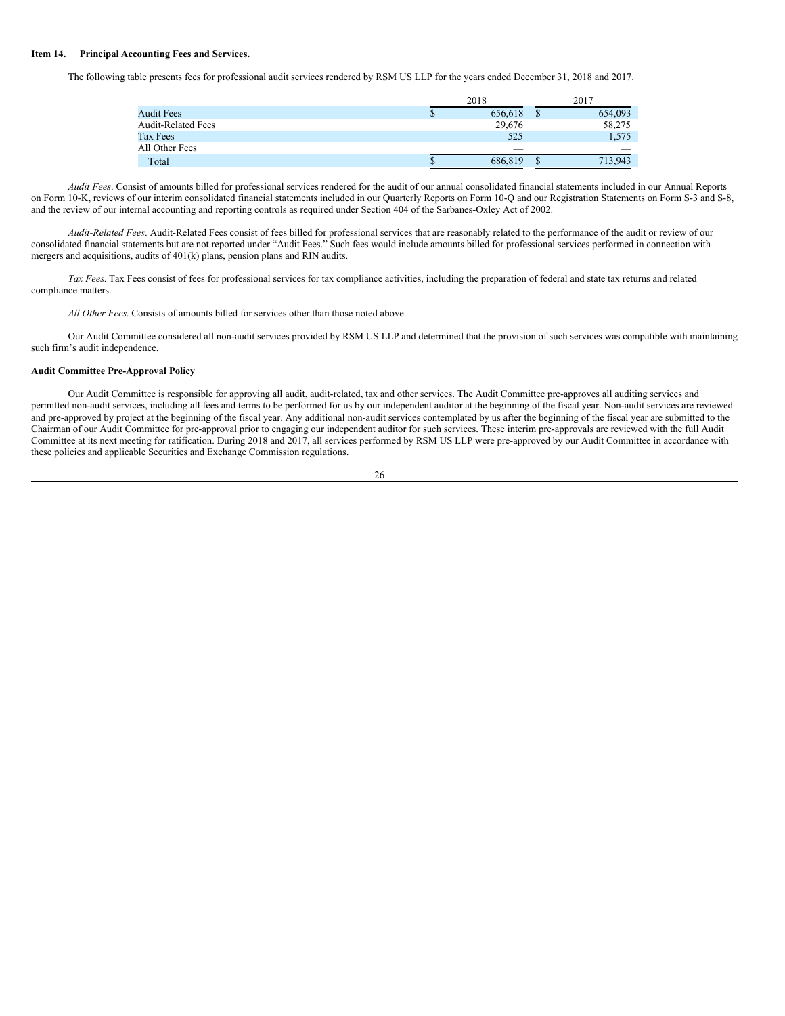### **Item 14. Principal Accounting Fees and Services.**

<span id="page-26-0"></span>The following table presents fees for professional audit services rendered by RSM US LLP for the years ended December 31, 2018 and 2017.

|                           |   | 2018                     | 2017          |
|---------------------------|---|--------------------------|---------------|
| <b>Audit Fees</b>         | S | 656,618                  | \$<br>654,093 |
| <b>Audit-Related Fees</b> |   | 29,676                   | 58,275        |
| Tax Fees                  |   | 525                      | 1.575         |
| All Other Fees            |   | $\overline{\phantom{a}}$ | $\frac{1}{2}$ |
| Total                     |   | 686,819                  | 713.943       |

*Audit Fees*. Consist of amounts billed for professional services rendered for the audit of our annual consolidated financial statements included in our Annual Reports on Form 10-K, reviews of our interim consolidated financial statements included in our Quarterly Reports on Form 10-Q and our Registration Statements on Form S-3 and S-8, and the review of our internal accounting and reporting controls as required under Section 404 of the Sarbanes-Oxley Act of 2002.

*Audit-Related Fees*. Audit-Related Fees consist of fees billed for professional services that are reasonably related to the performance of the audit or review of our consolidated financial statements but are not reported under "Audit Fees." Such fees would include amounts billed for professional services performed in connection with mergers and acquisitions, audits of 401(k) plans, pension plans and RIN audits.

*Tax Fees.* Tax Fees consist of fees for professional services for tax compliance activities, including the preparation of federal and state tax returns and related compliance matters.

*All Other Fees*. Consists of amounts billed for services other than those noted above.

Our Audit Committee considered all non-audit services provided by RSM US LLP and determined that the provision of such services was compatible with maintaining such firm's audit independence.

#### **Audit Committee Pre-Approval Policy**

Our Audit Committee is responsible for approving all audit, audit-related, tax and other services. The Audit Committee pre-approves all auditing services and permitted non-audit services, including all fees and terms to be performed for us by our independent auditor at the beginning of the fiscal year. Non-audit services are reviewed and pre-approved by project at the beginning of the fiscal year. Any additional non-audit services contemplated by us after the beginning of the fiscal year are submitted to the Chairman of our Audit Committee for pre-approval prior to engaging our independent auditor for such services. These interim pre-approvals are reviewed with the full Audit Committee at its next meeting for ratification. During 2018 and 2017, all services performed by RSM US LLP were pre-approved by our Audit Committee in accordance with these policies and applicable Securities and Exchange Commission regulations.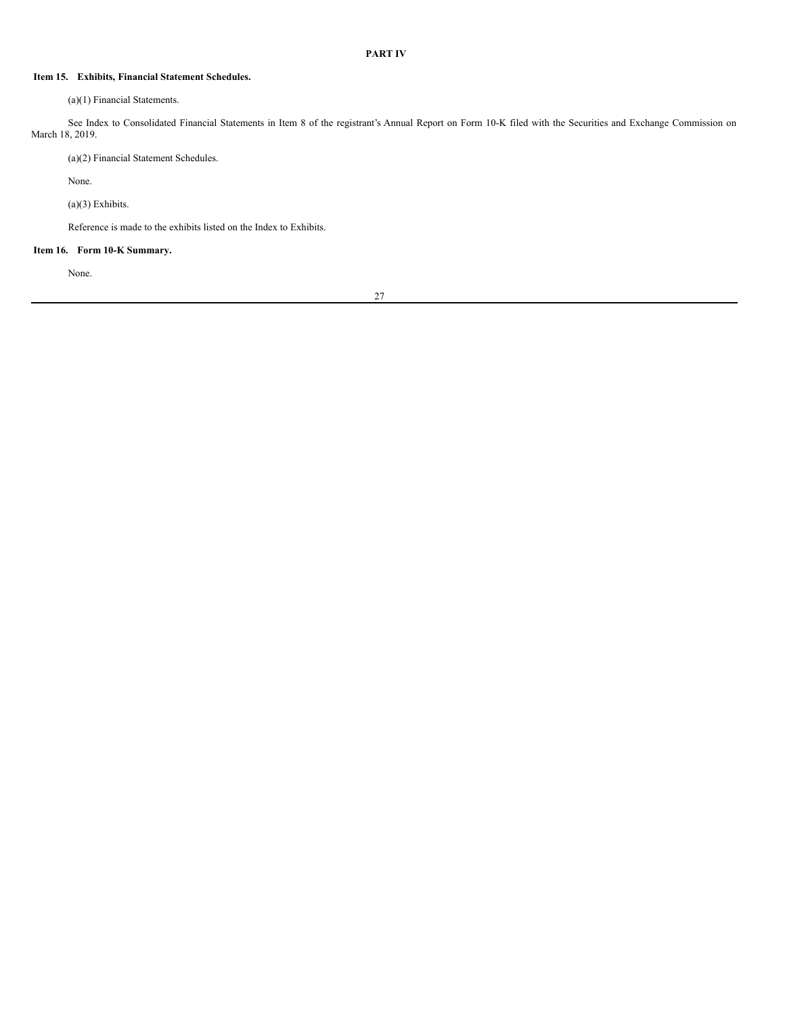## <span id="page-27-1"></span>**Item 15. Exhibits, Financial Statement Schedules.**

<span id="page-27-0"></span>(a)(1) Financial Statements.

See Index to Consolidated Financial Statements in Item 8 of the registrant's Annual Report on Form 10-K filed with the Securities and Exchange Commission on March 18, 2019.

(a)(2) Financial Statement Schedules.

None.

(a)(3) Exhibits.

Reference is made to the exhibits listed on the Index to Exhibits.

# <span id="page-27-2"></span>**Item 16. Form 10-K Summary.**

None.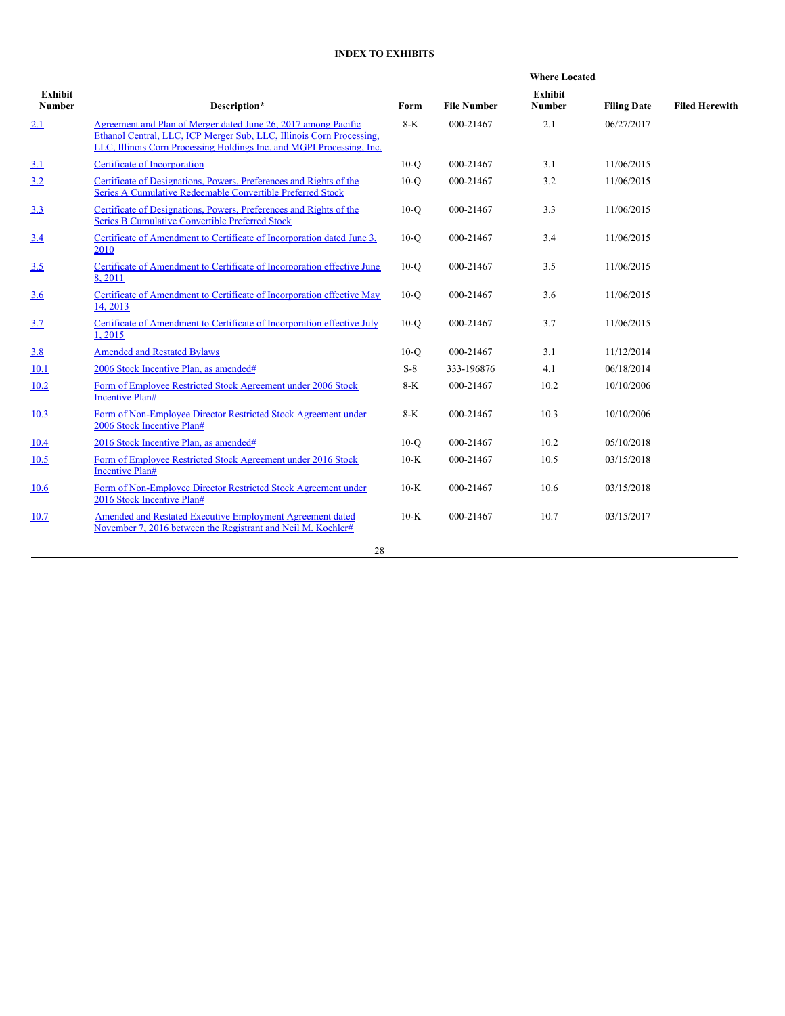|                                 |                                                                                                                                                                                                                 |        |                    | <b>Where Located</b>            |                    |                       |
|---------------------------------|-----------------------------------------------------------------------------------------------------------------------------------------------------------------------------------------------------------------|--------|--------------------|---------------------------------|--------------------|-----------------------|
| <b>Exhibit</b><br><b>Number</b> | Description*                                                                                                                                                                                                    | Form   | <b>File Number</b> | <b>Exhibit</b><br><b>Number</b> | <b>Filing Date</b> | <b>Filed Herewith</b> |
| 2.1                             | Agreement and Plan of Merger dated June 26, 2017 among Pacific<br>Ethanol Central, LLC, ICP Merger Sub, LLC, Illinois Corn Processing,<br>LLC, Illinois Corn Processing Holdings Inc. and MGPI Processing, Inc. | $8-K$  | 000-21467          | 2.1                             | 06/27/2017         |                       |
| 3.1                             | Certificate of Incorporation                                                                                                                                                                                    | $10-o$ | 000-21467          | 3.1                             | 11/06/2015         |                       |
| 3.2                             | Certificate of Designations, Powers, Preferences and Rights of the<br>Series A Cumulative Redeemable Convertible Preferred Stock                                                                                | $10-o$ | 000-21467          | 3.2                             | 11/06/2015         |                       |
| 3.3                             | Certificate of Designations, Powers, Preferences and Rights of the<br><b>Series B Cumulative Convertible Preferred Stock</b>                                                                                    | $10-Q$ | 000-21467          | 3.3                             | 11/06/2015         |                       |
| 3.4                             | Certificate of Amendment to Certificate of Incorporation dated June 3,<br>2010                                                                                                                                  | $10-o$ | 000-21467          | 3.4                             | 11/06/2015         |                       |
| 3.5                             | Certificate of Amendment to Certificate of Incorporation effective June<br>8,2011                                                                                                                               | $10-o$ | 000-21467          | 3.5                             | 11/06/2015         |                       |
| <u>3.6</u>                      | Certificate of Amendment to Certificate of Incorporation effective May<br>14, 2013                                                                                                                              | $10-o$ | 000-21467          | 3.6                             | 11/06/2015         |                       |
| 3.7                             | Certificate of Amendment to Certificate of Incorporation effective July<br>1.2015                                                                                                                               | $10-o$ | 000-21467          | 3.7                             | 11/06/2015         |                       |
| 3.8                             | <b>Amended and Restated Bylaws</b>                                                                                                                                                                              | $10-o$ | 000-21467          | 3.1                             | 11/12/2014         |                       |
| 10.1                            | 2006 Stock Incentive Plan, as amended#                                                                                                                                                                          | $S-8$  | 333-196876         | 4.1                             | 06/18/2014         |                       |
| 10.2                            | Form of Employee Restricted Stock Agreement under 2006 Stock<br><b>Incentive Plan#</b>                                                                                                                          | $8-K$  | 000-21467          | 10.2                            | 10/10/2006         |                       |
| 10.3                            | Form of Non-Employee Director Restricted Stock Agreement under<br>2006 Stock Incentive Plan#                                                                                                                    | $8-K$  | 000-21467          | 10.3                            | 10/10/2006         |                       |
| 10.4                            | 2016 Stock Incentive Plan, as amended#                                                                                                                                                                          | $10-o$ | 000-21467          | 10.2                            | 05/10/2018         |                       |
| 10.5                            | Form of Employee Restricted Stock Agreement under 2016 Stock<br><b>Incentive Plan#</b>                                                                                                                          | $10-K$ | 000-21467          | 10.5                            | 03/15/2018         |                       |
| 10.6                            | Form of Non-Employee Director Restricted Stock Agreement under<br>2016 Stock Incentive Plan#                                                                                                                    | $10-K$ | 000-21467          | 10.6                            | 03/15/2018         |                       |
| 10.7                            | Amended and Restated Executive Employment Agreement dated<br>November 7, 2016 between the Registrant and Neil M. Koehler#                                                                                       | $10-K$ | 000-21467          | 10.7                            | 03/15/2017         |                       |
|                                 | 28                                                                                                                                                                                                              |        |                    |                                 |                    |                       |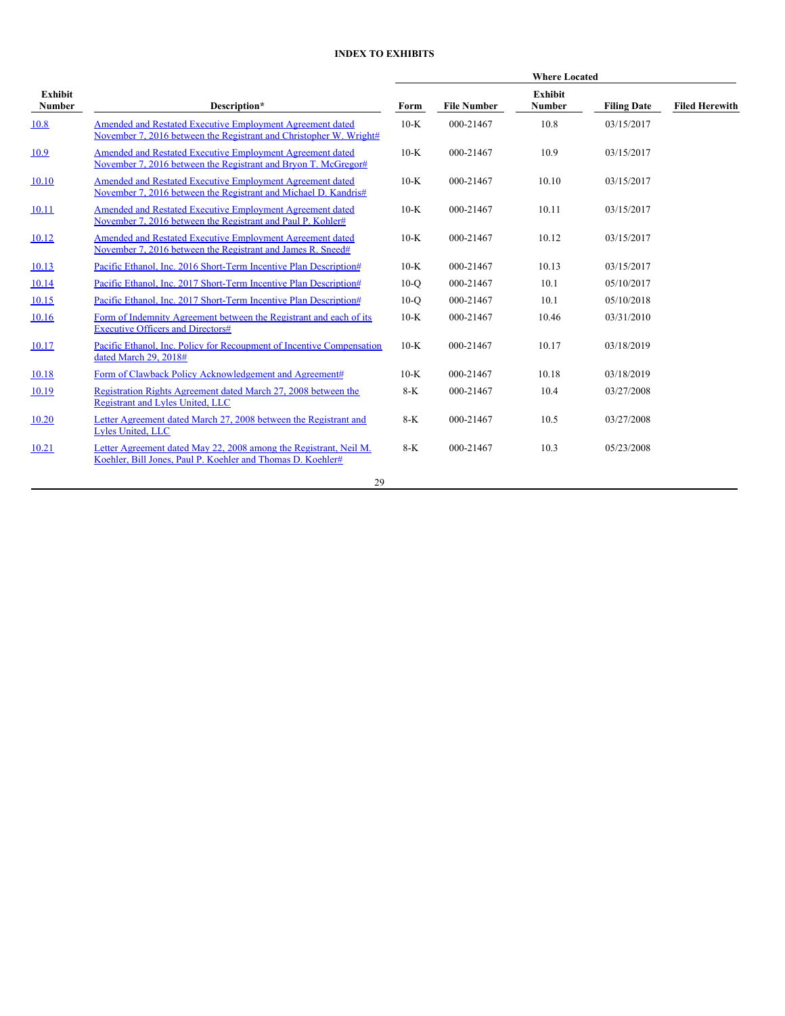| <b>Exhibit</b><br><b>Number</b> | Description*                                                                                                                     | <b>Where Located</b> |                    |                                 |                    |                       |  |
|---------------------------------|----------------------------------------------------------------------------------------------------------------------------------|----------------------|--------------------|---------------------------------|--------------------|-----------------------|--|
|                                 |                                                                                                                                  | Form                 | <b>File Number</b> | <b>Exhibit</b><br><b>Number</b> | <b>Filing Date</b> | <b>Filed Herewith</b> |  |
| 10.8                            | Amended and Restated Executive Employment Agreement dated<br>November 7, 2016 between the Registrant and Christopher W. Wright#  | $10-K$               | 000-21467          | 10.8                            | 03/15/2017         |                       |  |
| 10.9                            | Amended and Restated Executive Employment Agreement dated<br>November 7, 2016 between the Registrant and Bryon T. McGregor#      | $10-K$               | 000-21467          | 10.9                            | 03/15/2017         |                       |  |
| 10.10                           | Amended and Restated Executive Employment Agreement dated<br>November 7, 2016 between the Registrant and Michael D. Kandris#     | $10-K$               | 000-21467          | 10.10                           | 03/15/2017         |                       |  |
| 10.11                           | Amended and Restated Executive Employment Agreement dated<br>November 7, 2016 between the Registrant and Paul P. Kohler#         | $10-K$               | 000-21467          | 10.11                           | 03/15/2017         |                       |  |
| 10.12                           | Amended and Restated Executive Employment Agreement dated<br>November 7, 2016 between the Registrant and James R. Sneed#         | $10-K$               | 000-21467          | 10.12                           | 03/15/2017         |                       |  |
| 10.13                           | Pacific Ethanol, Inc. 2016 Short-Term Incentive Plan Description#                                                                | $10-K$               | 000-21467          | 10.13                           | 03/15/2017         |                       |  |
| 10.14                           | Pacific Ethanol, Inc. 2017 Short-Term Incentive Plan Description#                                                                | $10-°$               | 000-21467          | 10.1                            | 05/10/2017         |                       |  |
| 10.15                           | Pacific Ethanol, Inc. 2017 Short-Term Incentive Plan Description#                                                                | $10-Q$               | 000-21467          | 10.1                            | 05/10/2018         |                       |  |
| 10.16                           | Form of Indemnity Agreement between the Registrant and each of its<br><b>Executive Officers and Directors#</b>                   | $10-K$               | 000-21467          | 10.46                           | 03/31/2010         |                       |  |
| 10.17                           | Pacific Ethanol, Inc. Policy for Recoupment of Incentive Compensation<br>dated March 29, 2018#                                   | $10-K$               | 000-21467          | 10.17                           | 03/18/2019         |                       |  |
| 10.18                           | Form of Clawback Policy Acknowledgement and Agreement#                                                                           | $10-K$               | 000-21467          | 10.18                           | 03/18/2019         |                       |  |
| 10.19                           | Registration Rights Agreement dated March 27, 2008 between the<br><b>Registrant and Lyles United, LLC</b>                        | 8-K                  | 000-21467          | 10.4                            | 03/27/2008         |                       |  |
| 10.20                           | Letter Agreement dated March 27, 2008 between the Registrant and<br>Lyles United, LLC                                            | 8-K                  | 000-21467          | 10.5                            | 03/27/2008         |                       |  |
| 10.21                           | Letter Agreement dated May 22, 2008 among the Registrant, Neil M.<br>Koehler, Bill Jones, Paul P. Koehler and Thomas D. Koehler# | 8-K                  | 000-21467          | 10.3                            | 05/23/2008         |                       |  |
|                                 | 29                                                                                                                               |                      |                    |                                 |                    |                       |  |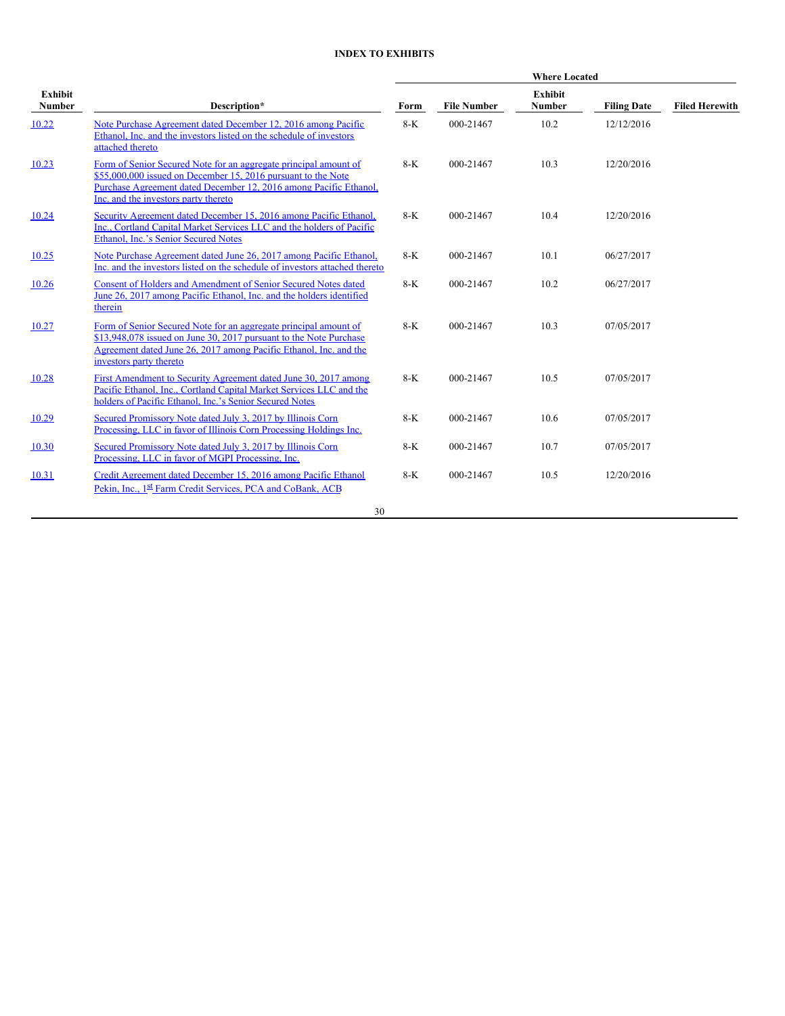|                                 | Description*                                                                                                                                                                                                                                   | <b>Where Located</b> |                    |                   |                    |                       |
|---------------------------------|------------------------------------------------------------------------------------------------------------------------------------------------------------------------------------------------------------------------------------------------|----------------------|--------------------|-------------------|--------------------|-----------------------|
| <b>Exhibit</b><br><b>Number</b> |                                                                                                                                                                                                                                                | Form                 | <b>File Number</b> | Exhibit<br>Number | <b>Filing Date</b> | <b>Filed Herewith</b> |
| 10.22                           | Note Purchase Agreement dated December 12, 2016 among Pacific<br>Ethanol, Inc. and the investors listed on the schedule of investors<br>attached thereto                                                                                       | $8-K$                | 000-21467          | 10.2              | 12/12/2016         |                       |
| 10.23                           | Form of Senior Secured Note for an aggregate principal amount of<br>\$55,000,000 issued on December 15, 2016 pursuant to the Note<br>Purchase Agreement dated December 12, 2016 among Pacific Ethanol,<br>Inc. and the investors party thereto | 8-K                  | 000-21467          | 10.3              | 12/20/2016         |                       |
| 10.24                           | Security Agreement dated December 15, 2016 among Pacific Ethanol,<br>Inc., Cortland Capital Market Services LLC and the holders of Pacific<br>Ethanol, Inc.'s Senior Secured Notes                                                             | $8-K$                | 000-21467          | 10.4              | 12/20/2016         |                       |
| 10.25                           | Note Purchase Agreement dated June 26, 2017 among Pacific Ethanol,<br>Inc. and the investors listed on the schedule of investors attached thereto                                                                                              | $8-K$                | 000-21467          | 10.1              | 06/27/2017         |                       |
| 10.26                           | Consent of Holders and Amendment of Senior Secured Notes dated<br>June 26, 2017 among Pacific Ethanol, Inc. and the holders identified<br>therein                                                                                              | 8-K                  | 000-21467          | 10.2              | 06/27/2017         |                       |
| 10.27                           | Form of Senior Secured Note for an aggregate principal amount of<br>\$13,948,078 issued on June 30, 2017 pursuant to the Note Purchase<br>Agreement dated June 26, 2017 among Pacific Ethanol, Inc. and the<br>investors party thereto         | 8-K                  | 000-21467          | 10.3              | 07/05/2017         |                       |
| 10.28                           | First Amendment to Security Agreement dated June 30, 2017 among<br>Pacific Ethanol, Inc., Cortland Capital Market Services LLC and the<br>holders of Pacific Ethanol, Inc.'s Senior Secured Notes                                              | 8-K                  | 000-21467          | 10.5              | 07/05/2017         |                       |
| 10.29                           | Secured Promissory Note dated July 3, 2017 by Illinois Corn<br>Processing, LLC in favor of Illinois Corn Processing Holdings Inc.                                                                                                              | $8-K$                | 000-21467          | 10.6              | 07/05/2017         |                       |
| 10.30                           | Secured Promissory Note dated July 3, 2017 by Illinois Corn<br>Processing, LLC in favor of MGPI Processing, Inc.                                                                                                                               | $8-K$                | 000-21467          | 10.7              | 07/05/2017         |                       |
| 10.31                           | Credit Agreement dated December 15, 2016 among Pacific Ethanol<br>Pekin, Inc., 1 <sup>st</sup> Farm Credit Services, PCA and CoBank, ACB                                                                                                       | 8-K                  | 000-21467          | 10.5              | 12/20/2016         |                       |
|                                 | 30                                                                                                                                                                                                                                             |                      |                    |                   |                    |                       |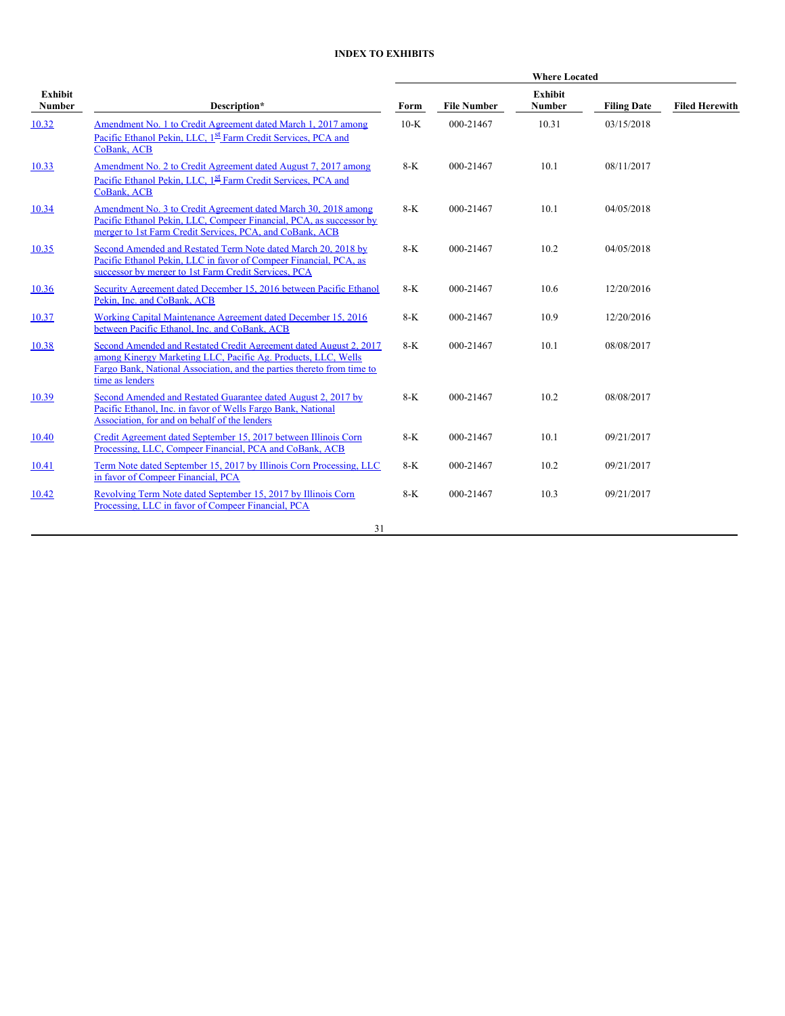|                                 |                                                                                                                                                                                                                                 | <b>Where Located</b> |                    |                                 |                    |                       |
|---------------------------------|---------------------------------------------------------------------------------------------------------------------------------------------------------------------------------------------------------------------------------|----------------------|--------------------|---------------------------------|--------------------|-----------------------|
| <b>Exhibit</b><br><b>Number</b> | Description*                                                                                                                                                                                                                    | Form                 | <b>File Number</b> | <b>Exhibit</b><br><b>Number</b> | <b>Filing Date</b> | <b>Filed Herewith</b> |
| 10.32                           | Amendment No. 1 to Credit Agreement dated March 1, 2017 among<br>Pacific Ethanol Pekin, LLC, 1 <sup>st</sup> Farm Credit Services, PCA and<br>CoBank, ACB                                                                       | $10-K$               | 000-21467          | 10.31                           | 03/15/2018         |                       |
| 10.33                           | Amendment No. 2 to Credit Agreement dated August 7, 2017 among<br>Pacific Ethanol Pekin, LLC, 1 <sup>st</sup> Farm Credit Services, PCA and<br>CoBank, ACB                                                                      | $8-K$                | 000-21467          | 10.1                            | 08/11/2017         |                       |
| 10.34                           | Amendment No. 3 to Credit Agreement dated March 30, 2018 among<br>Pacific Ethanol Pekin, LLC, Compeer Financial, PCA, as successor by<br>merger to 1st Farm Credit Services, PCA, and CoBank, ACB                               | $8-K$                | 000-21467          | 10.1                            | 04/05/2018         |                       |
| 10.35                           | Second Amended and Restated Term Note dated March 20, 2018 by<br>Pacific Ethanol Pekin, LLC in favor of Compeer Financial, PCA, as<br>successor by merger to 1st Farm Credit Services, PCA                                      | $8-K$                | 000-21467          | 10.2                            | 04/05/2018         |                       |
| 10.36                           | Security Agreement dated December 15, 2016 between Pacific Ethanol<br>Pekin, Inc. and CoBank, ACB                                                                                                                               | $8-K$                | 000-21467          | 10.6                            | 12/20/2016         |                       |
| 10.37                           | Working Capital Maintenance Agreement dated December 15, 2016<br>between Pacific Ethanol, Inc. and CoBank, ACB                                                                                                                  | $8-K$                | 000-21467          | 10.9                            | 12/20/2016         |                       |
| 10.38                           | Second Amended and Restated Credit Agreement dated August 2, 2017<br>among Kinergy Marketing LLC, Pacific Ag. Products, LLC, Wells<br>Fargo Bank, National Association, and the parties thereto from time to<br>time as lenders | $8-K$                | 000-21467          | 10.1                            | 08/08/2017         |                       |
| 10.39                           | Second Amended and Restated Guarantee dated August 2, 2017 by<br>Pacific Ethanol, Inc. in favor of Wells Fargo Bank, National<br>Association, for and on behalf of the lenders                                                  | $8-K$                | 000-21467          | 10.2                            | 08/08/2017         |                       |
| 10.40                           | Credit Agreement dated September 15, 2017 between Illinois Corn<br>Processing, LLC, Compeer Financial, PCA and CoBank, ACB                                                                                                      | $8-K$                | 000-21467          | 10.1                            | 09/21/2017         |                       |
| 10.41                           | Term Note dated September 15, 2017 by Illinois Corn Processing, LLC<br>in favor of Compeer Financial, PCA                                                                                                                       | $8-K$                | 000-21467          | 10.2                            | 09/21/2017         |                       |
| 10.42                           | Revolving Term Note dated September 15, 2017 by Illinois Corn<br>Processing, LLC in favor of Compeer Financial, PCA                                                                                                             | $8-K$                | 000-21467          | 10.3                            | 09/21/2017         |                       |
|                                 | 31                                                                                                                                                                                                                              |                      |                    |                                 |                    |                       |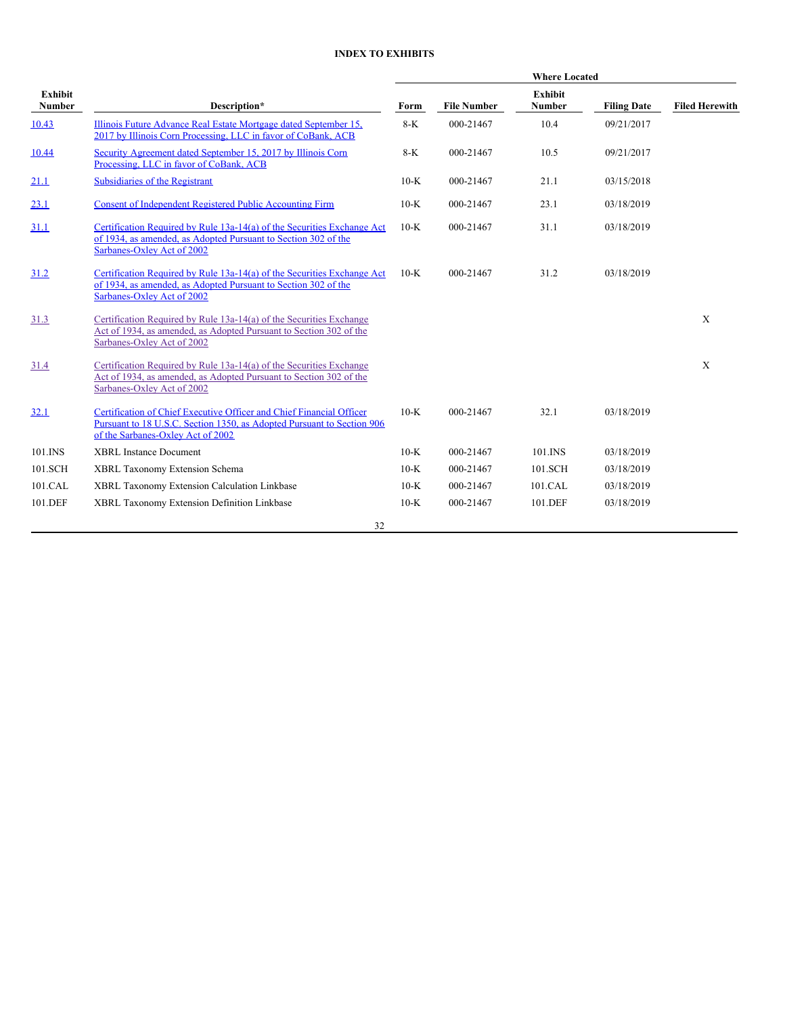|                          | Description*                                                                                                                                                                        | <b>Where Located</b> |                    |                                 |                    |                       |  |
|--------------------------|-------------------------------------------------------------------------------------------------------------------------------------------------------------------------------------|----------------------|--------------------|---------------------------------|--------------------|-----------------------|--|
| Exhibit<br><b>Number</b> |                                                                                                                                                                                     | Form                 | <b>File Number</b> | <b>Exhibit</b><br><b>Number</b> | <b>Filing Date</b> | <b>Filed Herewith</b> |  |
| 10.43                    | Illinois Future Advance Real Estate Mortgage dated September 15,<br>2017 by Illinois Corn Processing, LLC in favor of CoBank, ACB                                                   | $8-K$                | 000-21467          | 10.4                            | 09/21/2017         |                       |  |
| 10.44                    | Security Agreement dated September 15, 2017 by Illinois Corn<br>Processing, LLC in favor of CoBank, ACB                                                                             | $8-K$                | 000-21467          | 10.5                            | 09/21/2017         |                       |  |
| 21.1                     | Subsidiaries of the Registrant                                                                                                                                                      | $10-K$               | 000-21467          | 21.1                            | 03/15/2018         |                       |  |
| 23.1                     | <b>Consent of Independent Registered Public Accounting Firm</b>                                                                                                                     | $10-K$               | 000-21467          | 23.1                            | 03/18/2019         |                       |  |
| 31.1                     | Certification Required by Rule 13a-14(a) of the Securities Exchange Act<br>of 1934, as amended, as Adopted Pursuant to Section 302 of the<br>Sarbanes-Oxley Act of 2002             | $10-K$               | 000-21467          | 31.1                            | 03/18/2019         |                       |  |
| 31.2                     | Certification Required by Rule 13a-14(a) of the Securities Exchange Act<br>of 1934, as amended, as Adopted Pursuant to Section 302 of the<br>Sarbanes-Oxley Act of 2002             | $10-K$               | 000-21467          | 31.2                            | 03/18/2019         |                       |  |
| 31.3                     | Certification Required by Rule 13a-14(a) of the Securities Exchange<br>Act of 1934, as amended, as Adopted Pursuant to Section 302 of the<br>Sarbanes-Oxley Act of 2002             |                      |                    |                                 |                    | X                     |  |
| 31.4                     | Certification Required by Rule 13a-14(a) of the Securities Exchange<br>Act of 1934, as amended, as Adopted Pursuant to Section 302 of the<br>Sarbanes-Oxley Act of 2002             |                      |                    |                                 |                    | X                     |  |
| 32.1                     | Certification of Chief Executive Officer and Chief Financial Officer<br>Pursuant to 18 U.S.C. Section 1350, as Adopted Pursuant to Section 906<br>of the Sarbanes-Oxley Act of 2002 | $10-K$               | 000-21467          | 32.1                            | 03/18/2019         |                       |  |
| 101.INS                  | <b>XBRL Instance Document</b>                                                                                                                                                       | $10-K$               | 000-21467          | 101.INS                         | 03/18/2019         |                       |  |
| 101.SCH                  | XBRL Taxonomy Extension Schema                                                                                                                                                      | $10-K$               | 000-21467          | 101.SCH                         | 03/18/2019         |                       |  |
| 101.CAL                  | XBRL Taxonomy Extension Calculation Linkbase                                                                                                                                        | $10-K$               | 000-21467          | 101.CAL                         | 03/18/2019         |                       |  |
| 101.DEF                  | XBRL Taxonomy Extension Definition Linkbase                                                                                                                                         | $10-K$               | 000-21467          | 101.DEF                         | 03/18/2019         |                       |  |
|                          | 32                                                                                                                                                                                  |                      |                    |                                 |                    |                       |  |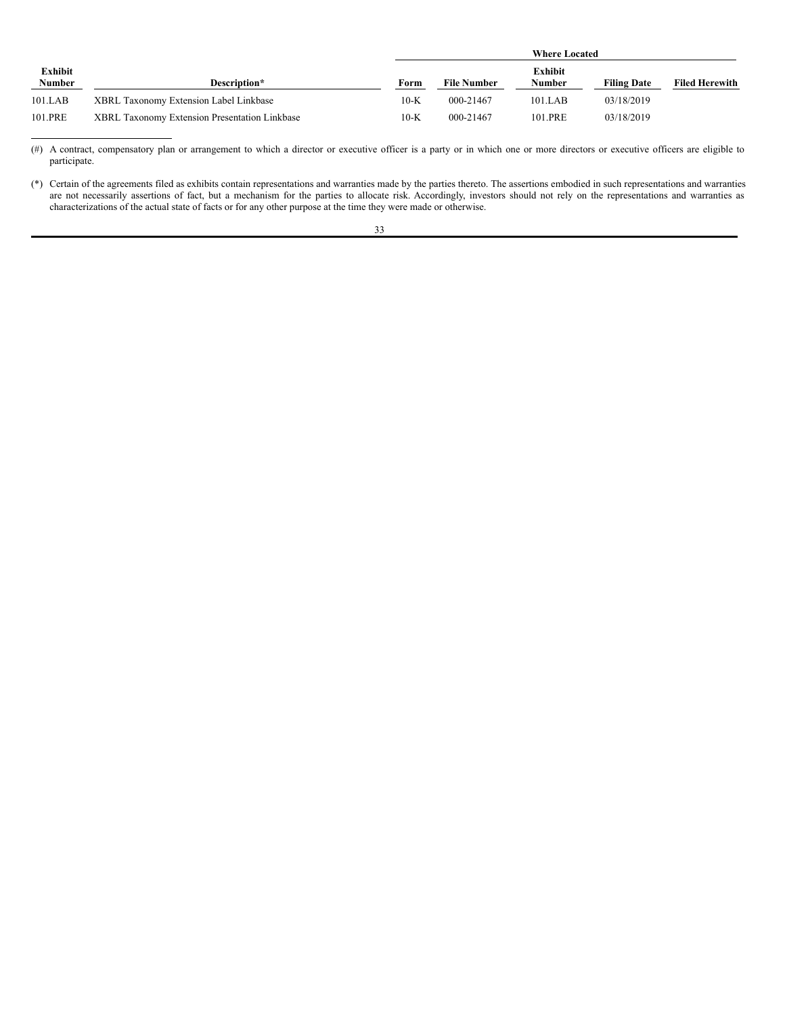|                   |                                                      |        | <b>Where Located</b> |                   |                    |                       |  |  |
|-------------------|------------------------------------------------------|--------|----------------------|-------------------|--------------------|-----------------------|--|--|
| Exhibit<br>Number | Description*                                         | Form   | <b>File Number</b>   | Exhibit<br>Number | <b>Filing Date</b> | <b>Filed Herewith</b> |  |  |
| 101.LAB           | XBRL Taxonomy Extension Label Linkbase               | $10-K$ | 000-21467            | 101.LAB           | 03/18/2019         |                       |  |  |
| 101.PRE           | <b>XBRL Taxonomy Extension Presentation Linkbase</b> | $10-K$ | 000-21467            | 101.PRE           | 03/18/2019         |                       |  |  |

<sup>(#)</sup> A contract, compensatory plan or arrangement to which a director or executive officer is a party or in which one or more directors or executive officers are eligible to participate.

<sup>(\*)</sup> Certain of the agreements filed as exhibits contain representations and warranties made by the parties thereto. The assertions embodied in such representations and warranties are not necessarily assertions of fact, but a mechanism for the parties to allocate risk. Accordingly, investors should not rely on the representations and warranties as characterizations of the actual state of facts or for any other purpose at the time they were made or otherwise.

<sup>33</sup>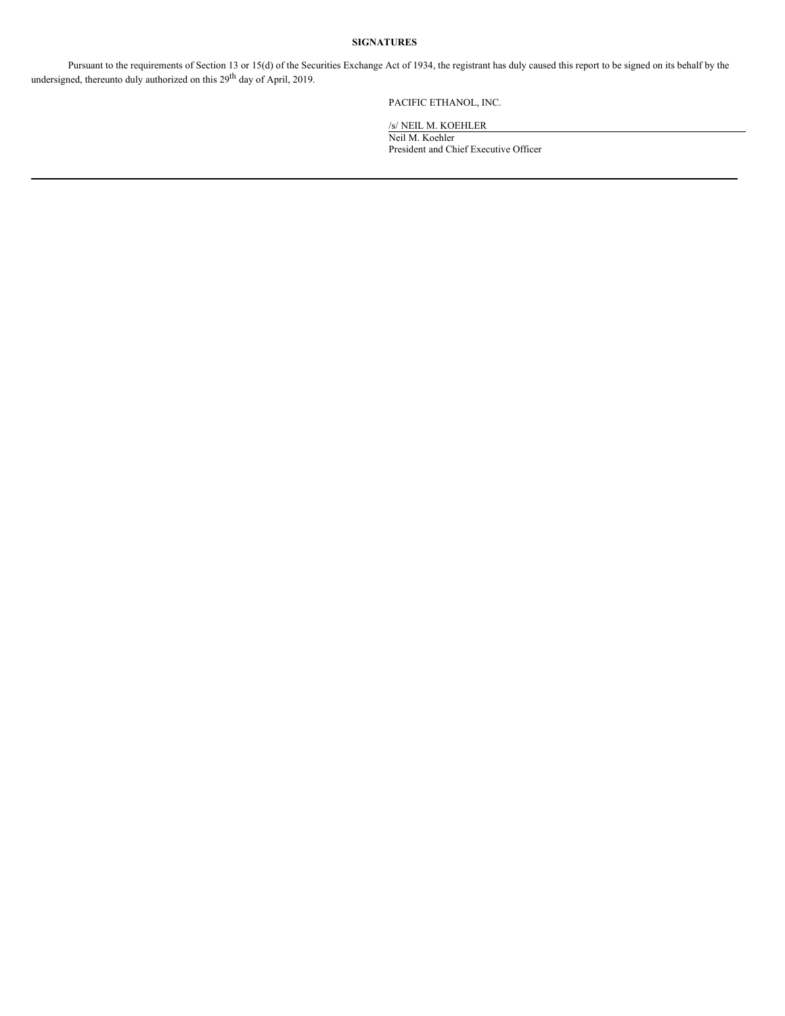# **SIGNATURES**

Pursuant to the requirements of Section 13 or 15(d) of the Securities Exchange Act of 1934, the registrant has duly caused this report to be signed on its behalf by the undersigned, thereunto duly authorized on this 29<sup>th</sup> day of April, 2019.

PACIFIC ETHANOL, INC.

/s/ NEIL M. KOEHLER Neil M. Koehler President and Chief Executive Officer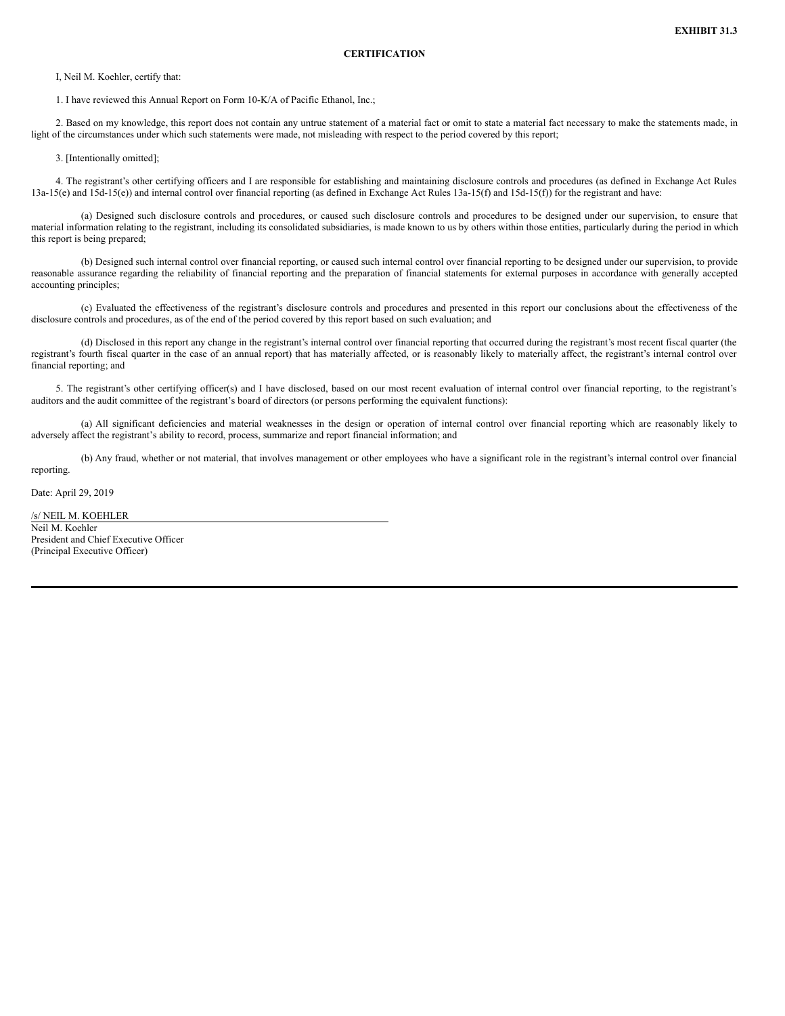<span id="page-35-0"></span>I, Neil M. Koehler, certify that:

1. I have reviewed this Annual Report on Form 10-K/A of Pacific Ethanol, Inc.;

2. Based on my knowledge, this report does not contain any untrue statement of a material fact or omit to state a material fact necessary to make the statements made, in light of the circumstances under which such statements were made, not misleading with respect to the period covered by this report;

3. [Intentionally omitted];

4. The registrant's other certifying officers and I are responsible for establishing and maintaining disclosure controls and procedures (as defined in Exchange Act Rules 13a-15(e) and 15d-15(e)) and internal control over financial reporting (as defined in Exchange Act Rules 13a-15(f) and 15d-15(f)) for the registrant and have:

(a) Designed such disclosure controls and procedures, or caused such disclosure controls and procedures to be designed under our supervision, to ensure that material information relating to the registrant, including its consolidated subsidiaries, is made known to us by others within those entities, particularly during the period in which this report is being prepared;

(b) Designed such internal control over financial reporting, or caused such internal control over financial reporting to be designed under our supervision, to provide reasonable assurance regarding the reliability of financial reporting and the preparation of financial statements for external purposes in accordance with generally accepted accounting principles;

(c) Evaluated the effectiveness of the registrant's disclosure controls and procedures and presented in this report our conclusions about the effectiveness of the disclosure controls and procedures, as of the end of the period covered by this report based on such evaluation; and

(d) Disclosed in this report any change in the registrant's internal control over financial reporting that occurred during the registrant's most recent fiscal quarter (the registrant's fourth fiscal quarter in the case of an annual report) that has materially affected, or is reasonably likely to materially affect, the registrant's internal control over financial reporting; and

5. The registrant's other certifying officer(s) and I have disclosed, based on our most recent evaluation of internal control over financial reporting, to the registrant's auditors and the audit committee of the registrant's board of directors (or persons performing the equivalent functions):

(a) All significant deficiencies and material weaknesses in the design or operation of internal control over financial reporting which are reasonably likely to adversely affect the registrant's ability to record, process, summarize and report financial information; and

(b) Any fraud, whether or not material, that involves management or other employees who have a significant role in the registrant's internal control over financial reporting.

Date: April 29, 2019

/s/ NEIL M. KOEHLER

Neil M. Koehler President and Chief Executive Officer (Principal Executive Officer)